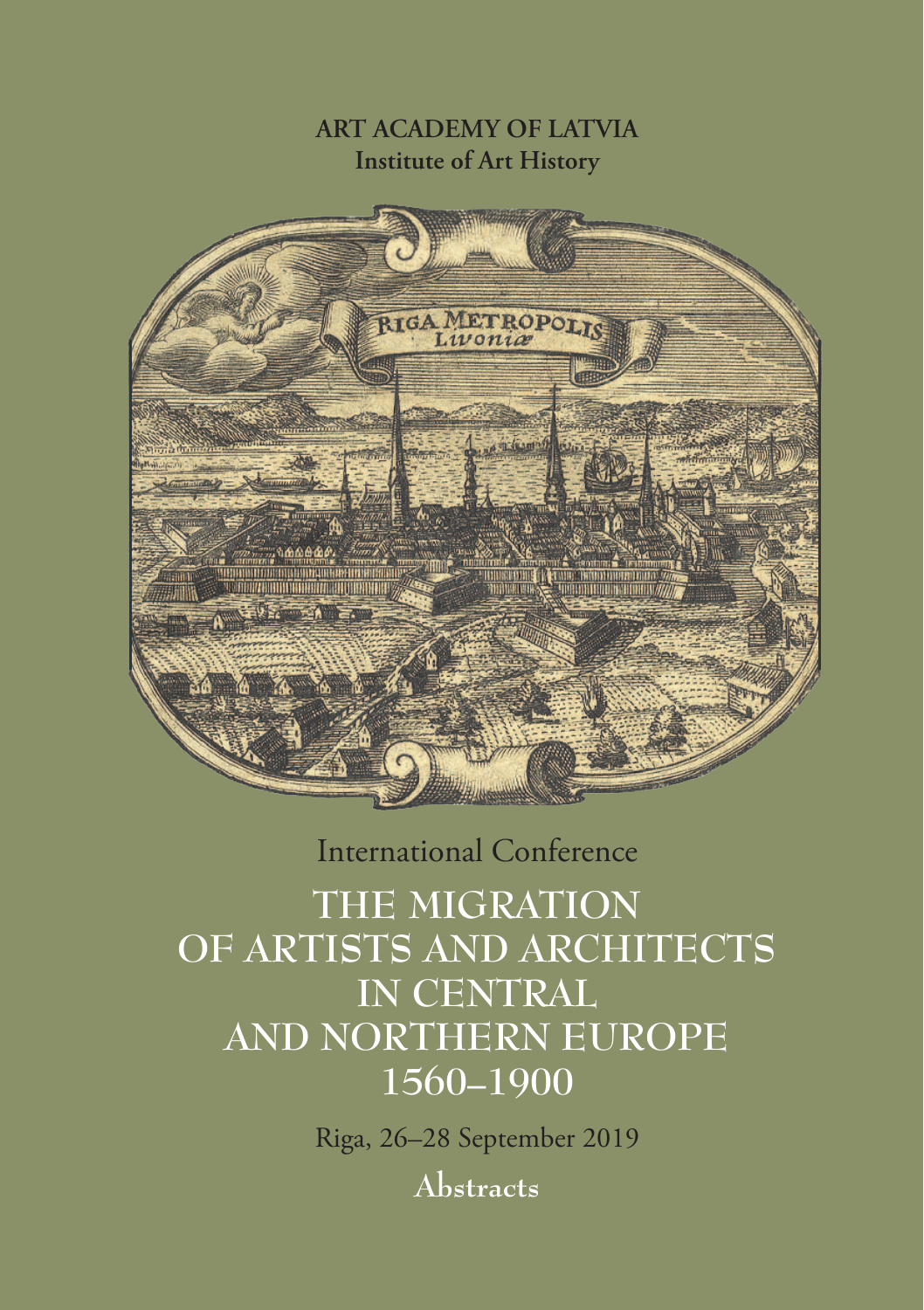**ART ACADEMY OF LATVIA Institute of Art History**



International Conference

**THE MIGRATION OF ARTISTS AND ARCHITECTS IN CENTRAL AND NORTHERN EUROPE 1560–1900**

Riga, 26–28 September 2019

**Abstracts**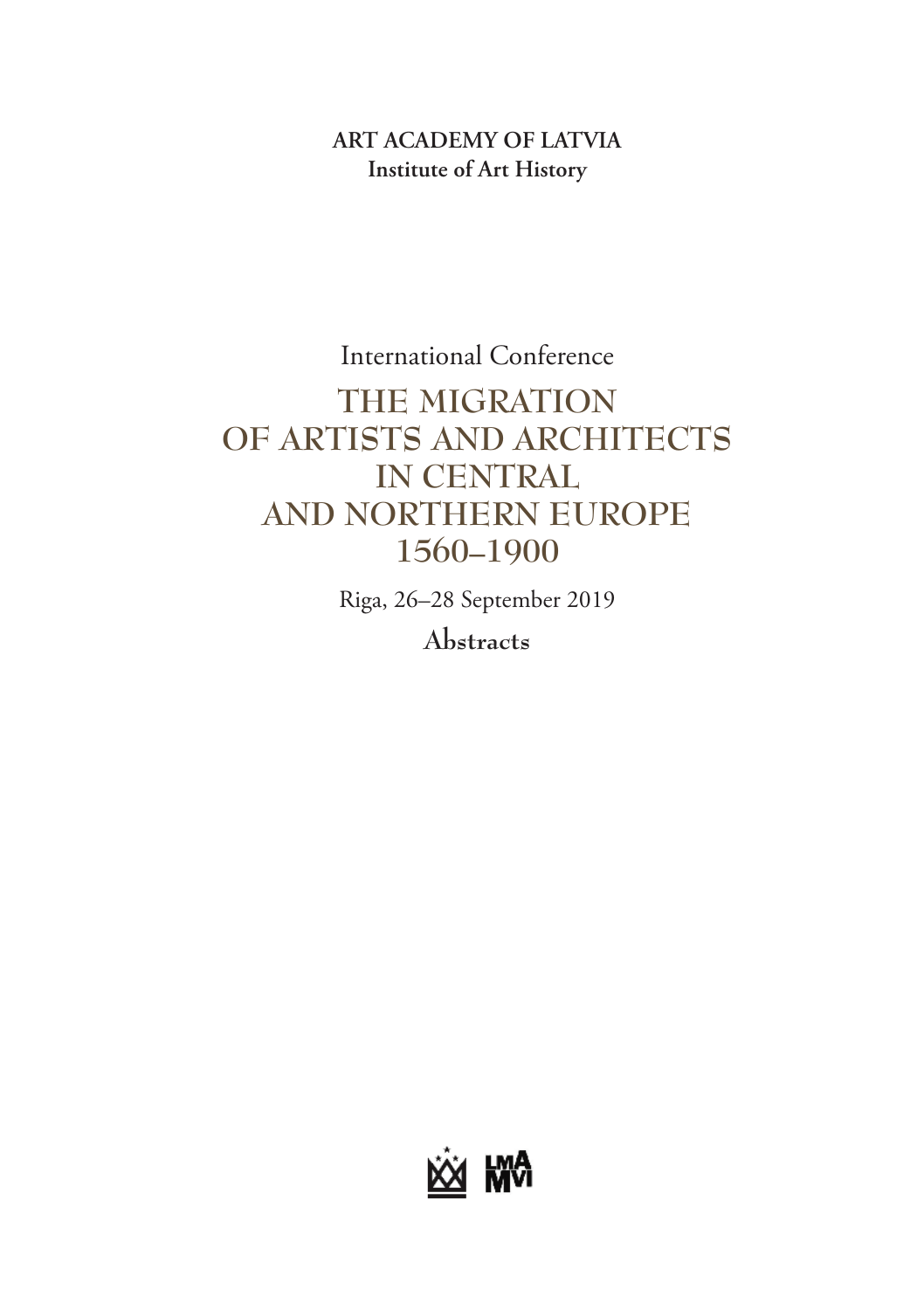### **ART ACADEMY OF LATVIA Institute of Art History**

**ART ACADEMY OF LATVIA Institute of Art History THE MIGRATION**  International Conference **OF ARTISTS AND ARCHITECTS IN CENTRAL AND NORTHERN EUROPE 1560–1900**

Riga, 26–28 September 2019

**Abstracts**

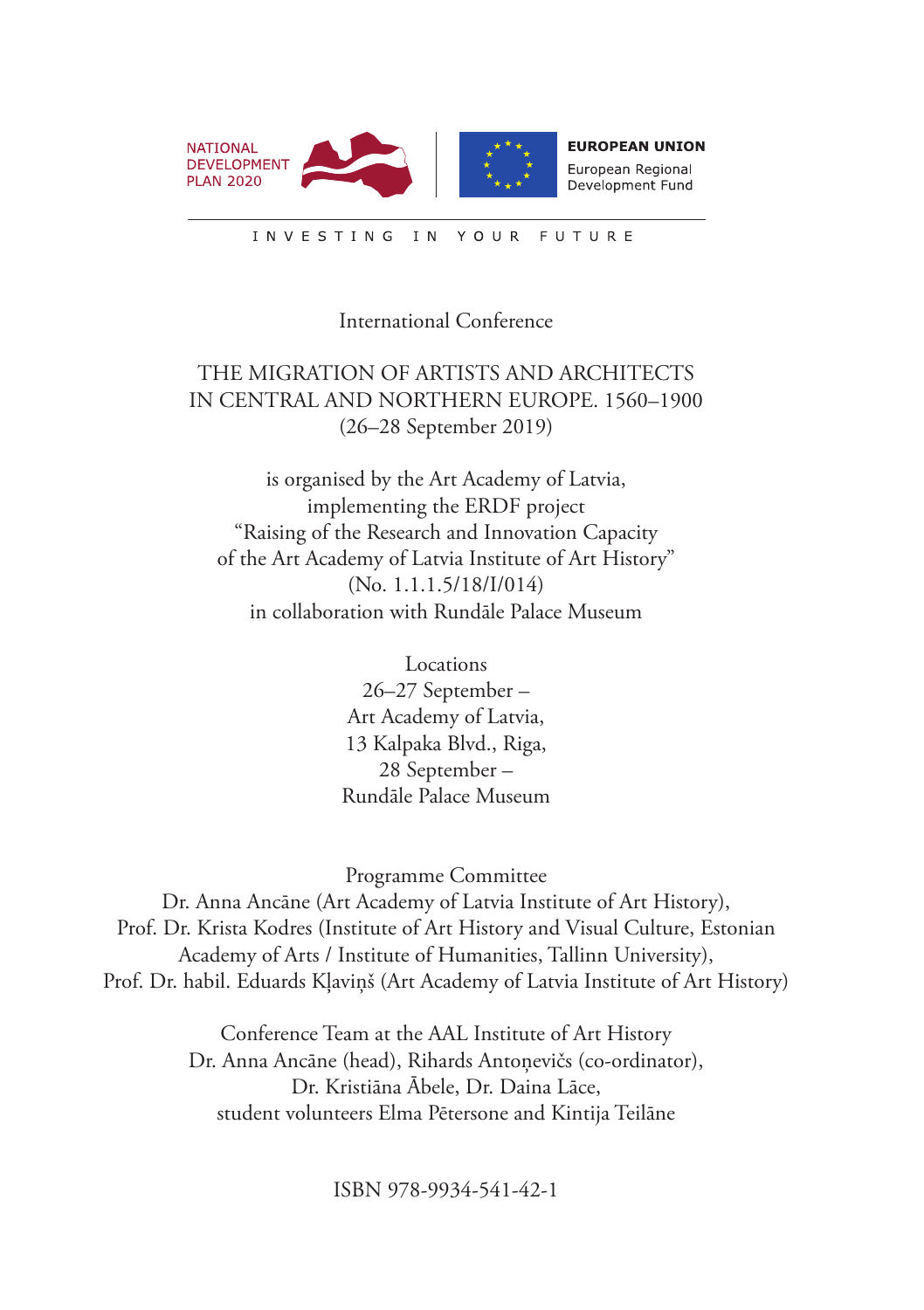

European Regional Development Fund

INVESTING IN YOUR **FUTURE** 

#### International Conference

### THE MIGRATION OF ARTISTS AND ARCHITECTS IN CENTRAL AND NORTHERN EUROPE. 1560–1900 (26–28 September 2019)

is organised by the Art Academy of Latvia, implementing the ERDF project "Raising of the Research and Innovation Capacity of the Art Academy of Latvia Institute of Art History" (No. 1.1.1.5/18/I/014) in collaboration with Rundāle Palace Museum

> Locations 26–27 September – Art Academy of Latvia, 13 Kalpaka Blvd., Riga, 28 September – Rundāle Palace Museum

Programme Committee

Dr. Anna Ancāne (Art Academy of Latvia Institute of Art History), Prof. Dr. Krista Kodres (Institute of Art History and Visual Culture, Estonian Academy of Arts / Institute of Humanities, Tallinn University), Prof. Dr. habil. Eduards Kļaviņš (Art Academy of Latvia Institute of Art History)

> Conference Team at the AAL Institute of Art History Dr. Anna Ancāne (head), Rihards Antonevičs (co-ordinator), Dr. Kristiāna Ābele, Dr. Daina Lāce, student volunteers Elma Pētersone and Kintija Teilāne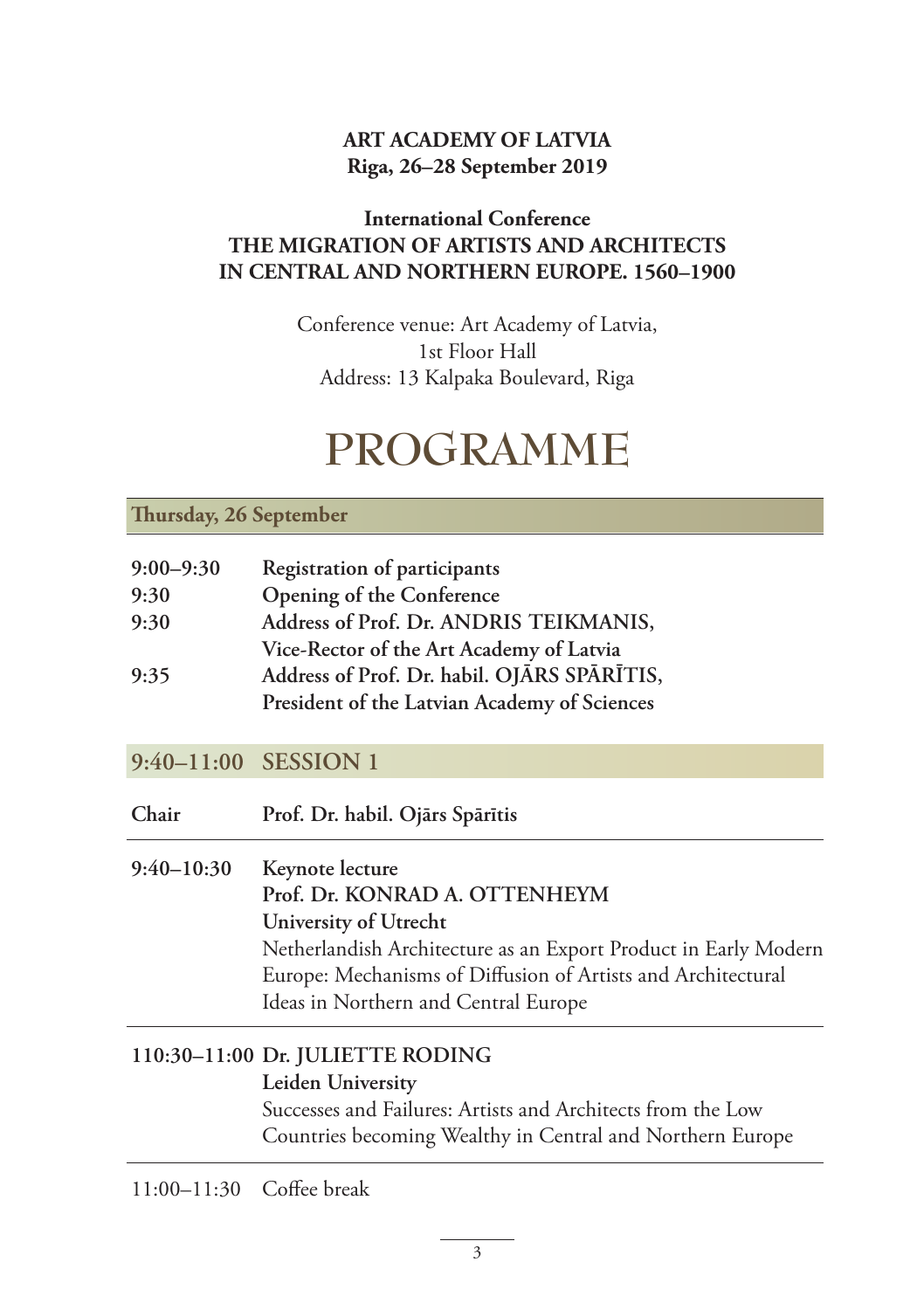### **ART ACADEMY OF LATVIA Riga, 26–28 September 2019**

### **International Conference THE MIGRATION OF ARTISTS AND ARCHITECTS IN CENTRAL AND NORTHERN EUROPE. 1560–1900**

Conference venue: Art Academy of Latvia, 1st Floor Hall Address: 13 Kalpaka Boulevard, Riga

# **PROGRAMME**

#### **Thursday, 26 September**

| $9:00 - 9:30$ | Registration of participants                 |
|---------------|----------------------------------------------|
| 9:30          | Opening of the Conference                    |
| 9:30          | Address of Prof. Dr. ANDRIS TEIKMANIS,       |
|               | Vice-Rector of the Art Academy of Latvia     |
| 9:35          | Address of Prof. Dr. habil. OJĀRS SPĀRĪTIS,  |
|               | President of the Latvian Academy of Sciences |

### **9:40–11:00 SESSION 1**

**Chair Prof. Dr. habil. Ojārs Spārītis**

**9:40–10:30 Keynote lecture Prof. Dr. KONRAD A. OTTENHEYM University of Utrecht** Netherlandish Architecture as an Export Product in Early Modern Europe: Mechanisms of Diffusion of Artists and Architectural Ideas in Northern and Central Europe

### **110:30–11:00 Dr. JULIETTE RODING**

#### **Leiden University**

Successes and Failures: Artists and Architects from the Low Countries becoming Wealthy in Central and Northern Europe

11:00–11:30 Coffee break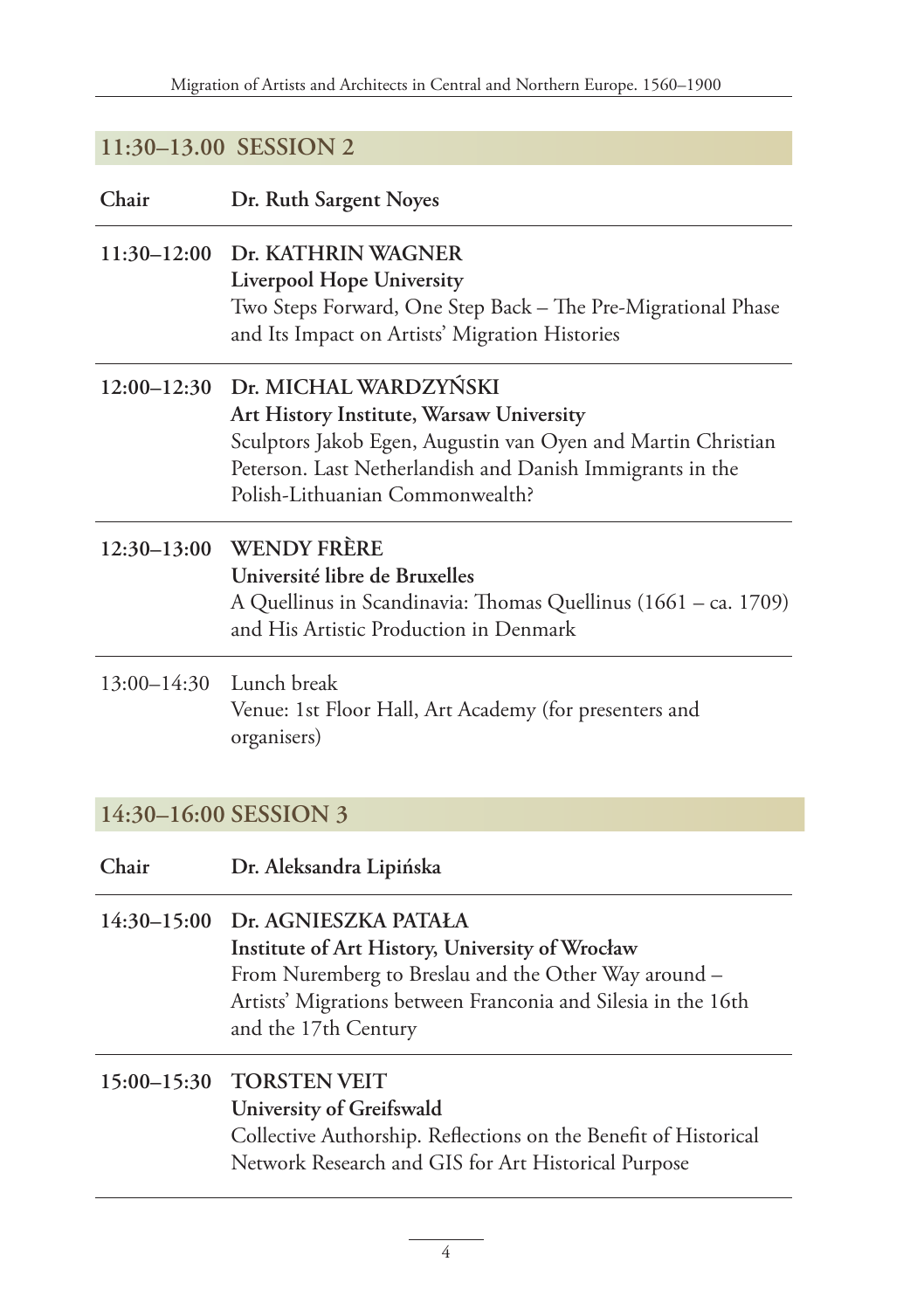### **11:30–13.00 SESSION 2**

| Chair | Dr. Ruth Sargent Noyes |
|-------|------------------------|
|-------|------------------------|

### **11:30–12:00 Dr. KATHRIN WAGNER Liverpool Hope University** Two Steps Forward, One Step Back – The Pre-Migrational Phase and Its Impact on Artists' Migration Histories

### **12:00–12:30 Dr. MICHAL WARDZYŃSKI Art History Institute, Warsaw University** Sculptors Jakob Egen, Augustin van Oyen and Martin Christian Peterson. Last Netherlandish and Danish Immigrants in the Polish-Lithuanian Commonwealth?

### **12:30–13:00 WENDY FRÈRE Université libre de Bruxelles** A Quellinus in Scandinavia: Thomas Quellinus (1661 – ca. 1709) and His Artistic Production in Denmark

### 13:00–14:30 Lunch break Venue: 1st Floor Hall, Art Academy (for presenters and organisers)

### **14:30–16:00 SESSION 3**

| Chair | Dr. Aleksandra Lipińska |
|-------|-------------------------|
|-------|-------------------------|

### **14:30–15:00 Dr. AGNIESZKA PATAŁA Institute of Art History, University of Wrocław** From Nuremberg to Breslau and the Other Way around – Artists' Migrations between Franconia and Silesia in the 16th and the 17th Century

### **15:00–15:30 TORSTEN VEIT University of Greifswald** Collective Authorship. Reflections on the Benefit of Historical Network Research and GIS for Art Historical Purpose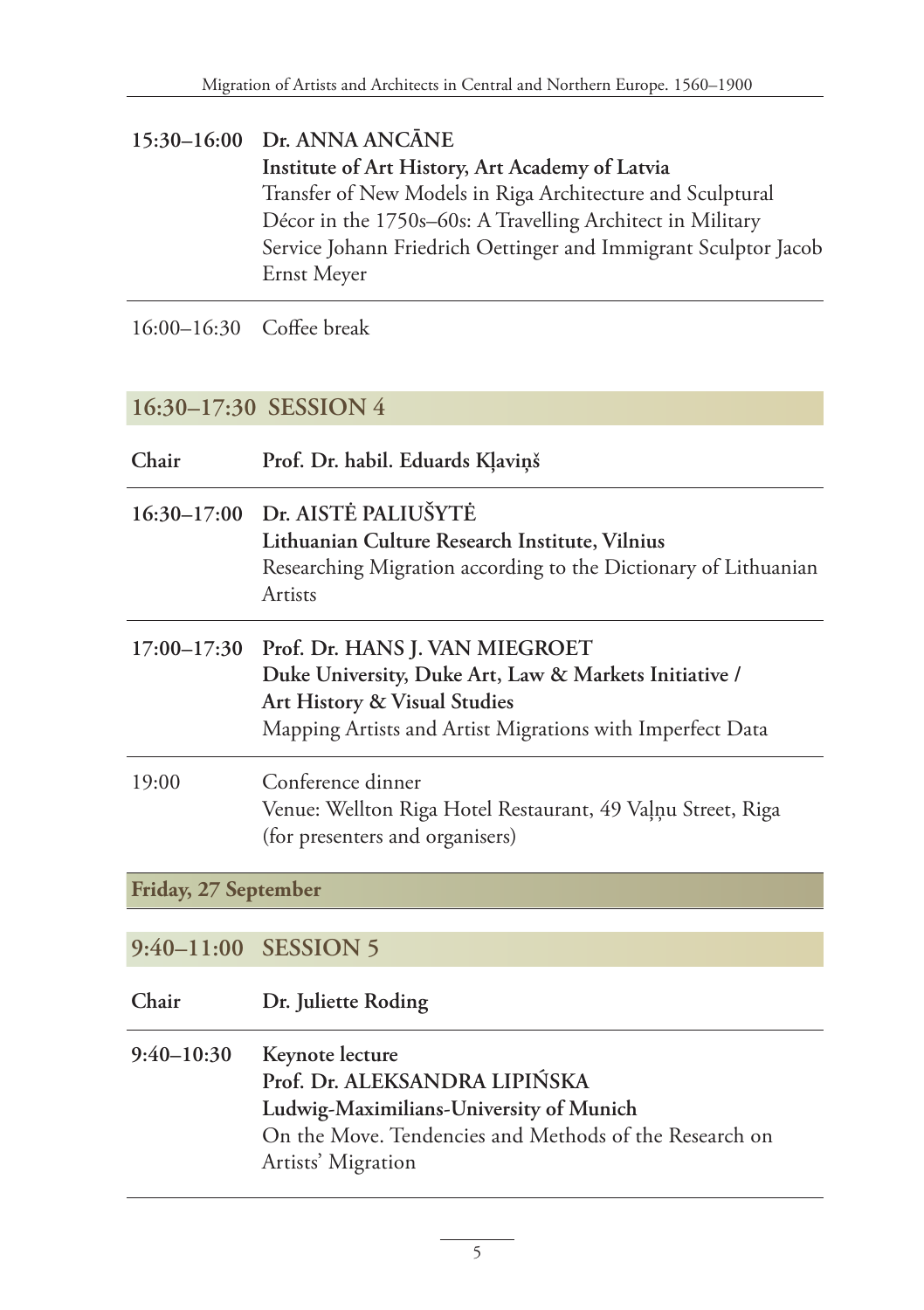### **15:30–16:00 Dr. ANNA ANCĀNE Institute of Art History, Art Academy of Latvia** Transfer of New Models in Riga Architecture and Sculptural Décor in the 1750s–60s: A Travelling Architect in Military Service Johann Friedrich Oettinger and Immigrant Sculptor Jacob Ernst Meyer

16:00–16:30 Coffee break

### **16:30–17:30 SESSION 4**

| Chair                | Prof. Dr. habil. Eduards Kļaviņš                                                                                                                                                     |
|----------------------|--------------------------------------------------------------------------------------------------------------------------------------------------------------------------------------|
|                      | 16:30-17:00 Dr. AISTĖ PALIUŠYTĖ<br>Lithuanian Culture Research Institute, Vilnius<br>Researching Migration according to the Dictionary of Lithuanian<br>Artists                      |
| $17:00 - 17:30$      | Prof. Dr. HANS J. VAN MIEGROET<br>Duke University, Duke Art, Law & Markets Initiative /<br>Art History & Visual Studies<br>Mapping Artists and Artist Migrations with Imperfect Data |
| 19:00                | Conference dinner<br>Venue: Wellton Riga Hotel Restaurant, 49 Vaļņu Street, Riga<br>(for presenters and organisers)                                                                  |
| Friday, 27 September |                                                                                                                                                                                      |
|                      | 9:40-11:00 SESSION 5                                                                                                                                                                 |
| Chair                | Dr. Juliette Roding                                                                                                                                                                  |
| $9:40 - 10:30$       | Keynote lecture<br>Prof. Dr. ALEKSANDRA LIPIŃSKA<br>Ludwig-Maximilians-University of Munich<br>On the Move. Tendencies and Methods of the Research on                                |

Artists' Migration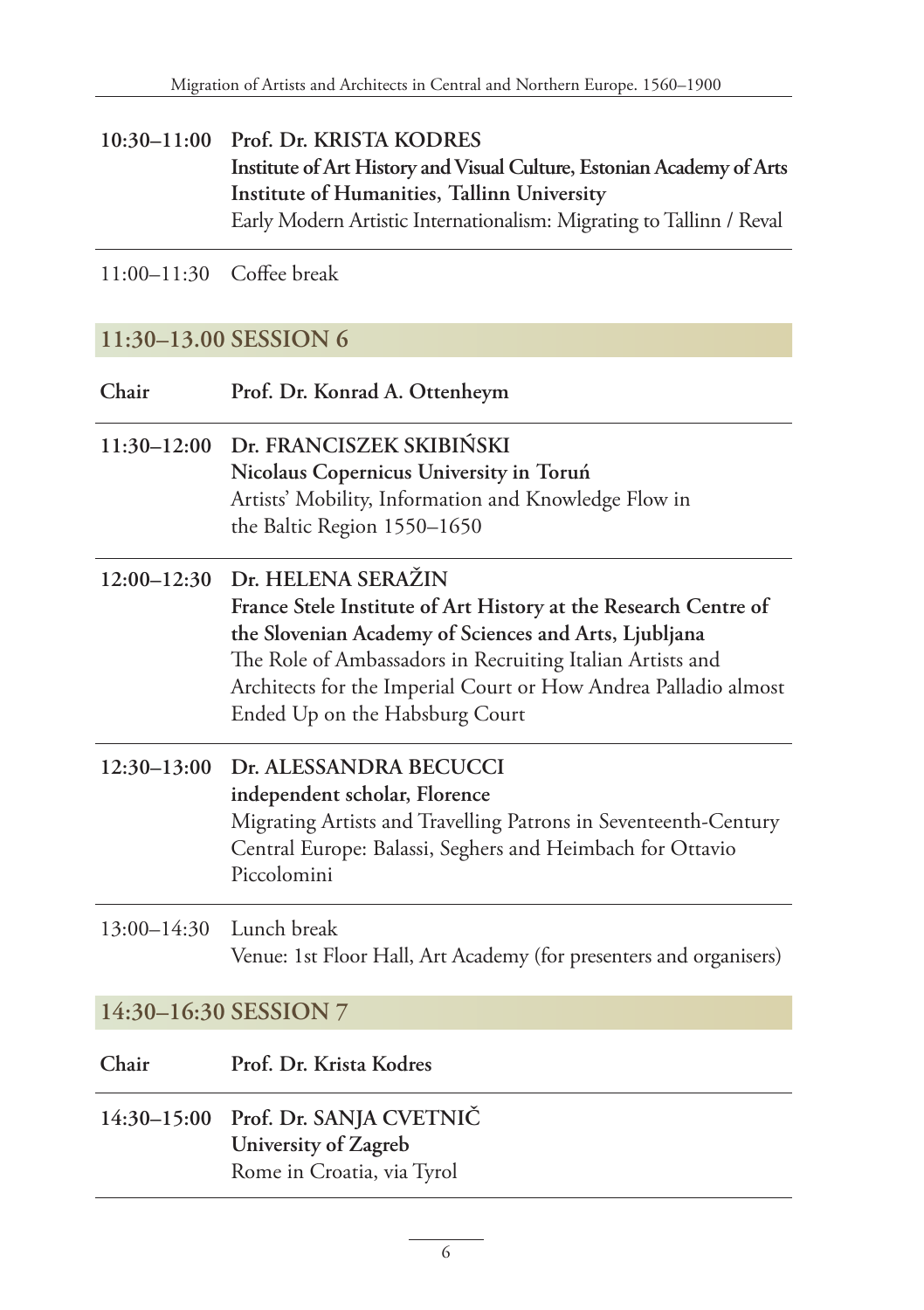**10:30–11:00 Prof. Dr. KRISTA KODRES Institute of Art History and Visual Culture, Estonian Academy of Arts Institute of Humanities, Tallinn University** Early Modern Artistic Internationalism: Migrating to Tallinn / Reval

11:00–11:30 Coffee break

### **11:30–13.00 SESSION 6**

| Chair                   | Prof. Dr. Konrad A. Ottenheym                                                                                                                                                                                                                                                                                                |
|-------------------------|------------------------------------------------------------------------------------------------------------------------------------------------------------------------------------------------------------------------------------------------------------------------------------------------------------------------------|
|                         | 11:30-12:00 Dr. FRANCISZEK SKIBIŃSKI<br>Nicolaus Copernicus University in Toruń<br>Artists' Mobility, Information and Knowledge Flow in<br>the Baltic Region 1550-1650                                                                                                                                                       |
|                         | 12:00-12:30 Dr. HELENA SERAŽIN<br>France Stele Institute of Art History at the Research Centre of<br>the Slovenian Academy of Sciences and Arts, Ljubljana<br>The Role of Ambassadors in Recruiting Italian Artists and<br>Architects for the Imperial Court or How Andrea Palladio almost<br>Ended Up on the Habsburg Court |
| $12:30-13:00$           | Dr. ALESSANDRA BECUCCI<br>independent scholar, Florence<br>Migrating Artists and Travelling Patrons in Seventeenth-Century<br>Central Europe: Balassi, Seghers and Heimbach for Ottavio<br>Piccolomini                                                                                                                       |
| 13:00-14:30 Lunch break | Venue: 1st Floor Hall, Art Academy (for presenters and organisers)                                                                                                                                                                                                                                                           |

### **14:30–16:30 SESSION 7**

- **Chair Prof. Dr. Krista Kodres**
- **14:30–15:00 Prof. Dr. SANJA CVETNIČ University of Zagreb** Rome in Croatia, via Tyrol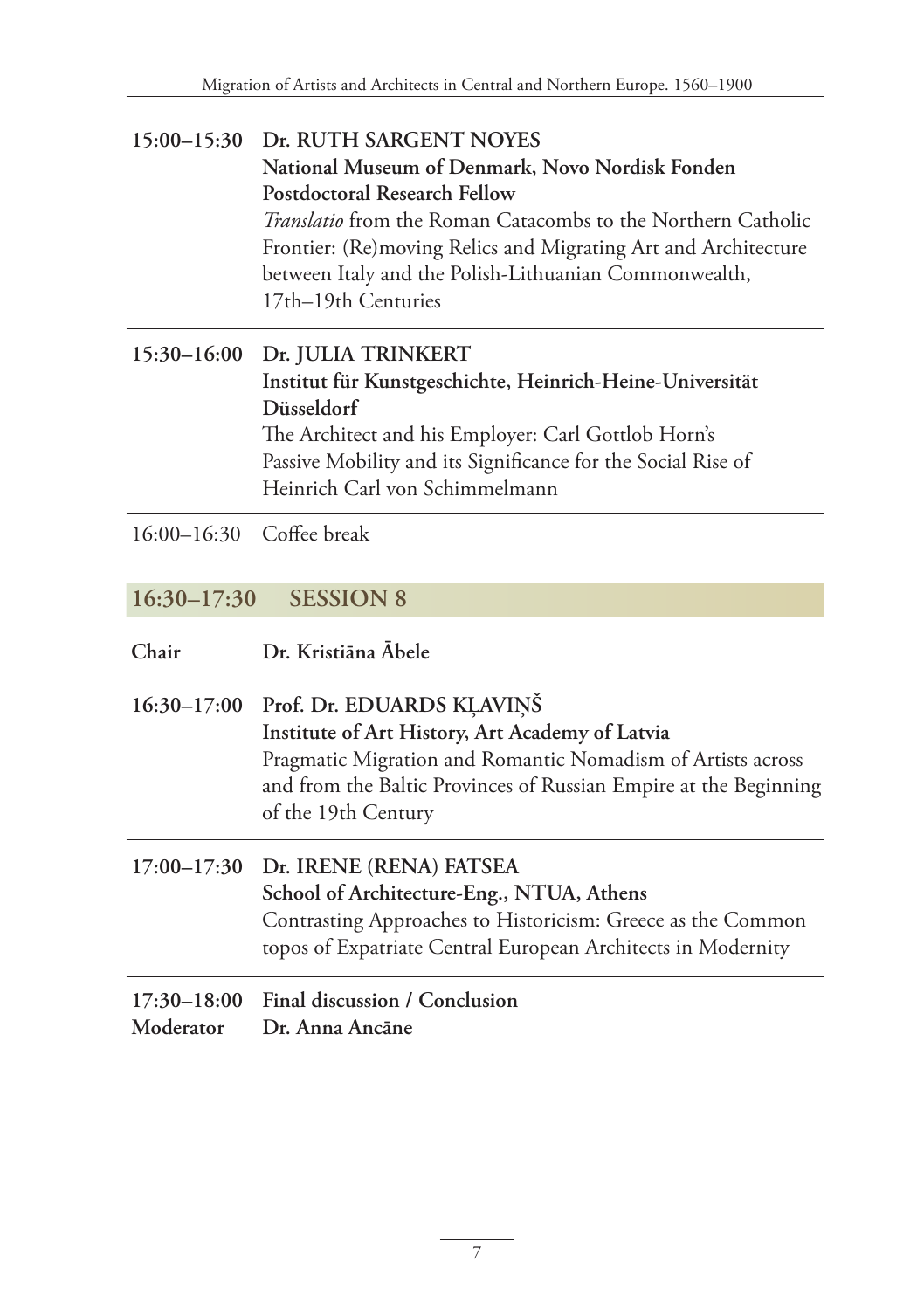### **15:00–15:30 Dr. RUTH SARGENT NOYES National Museum of Denmark, Novo Nordisk Fonden Postdoctoral Research Fellow** *Translatio* from the Roman Catacombs to the Northern Catholic Frontier: (Re)moving Relics and Migrating Art and Architecture between Italy and the Polish-Lithuanian Commonwealth, 17th–19th Centuries

### **15:30–16:00 Dr. JULIA TRINKERT Institut für Kunstgeschichte, Heinrich-Heine-Universität Düsseldorf**  The Architect and his Employer: Carl Gottlob Horn's Passive Mobility and its Significance for the Social Rise of Heinrich Carl von Schimmelmann

16:00–16:30 Coffee break

### **16:30–17:30 SESSION 8**

| Chair | Dr. Kristiāna Ābele |
|-------|---------------------|
|-------|---------------------|

| 16:30-17:00 Prof. Dr. EDUARDS KLAVIŅŠ                                                                                                                  |
|--------------------------------------------------------------------------------------------------------------------------------------------------------|
| Institute of Art History, Art Academy of Latvia                                                                                                        |
| Pragmatic Migration and Romantic Nomadism of Artists across<br>and from the Baltic Provinces of Russian Empire at the Beginning<br>of the 19th Century |
|                                                                                                                                                        |

### **17:00–17:30 Dr. IRENE (RENA) FATSEA School of Architecture-Eng., NTUA, Athens** Contrasting Approaches to Historicism: Greece as the Common topos of Expatriate Central European Architects in Modernity

### **17:30–18:00 Final discussion / Conclusion Moderator Dr. Anna Ancāne**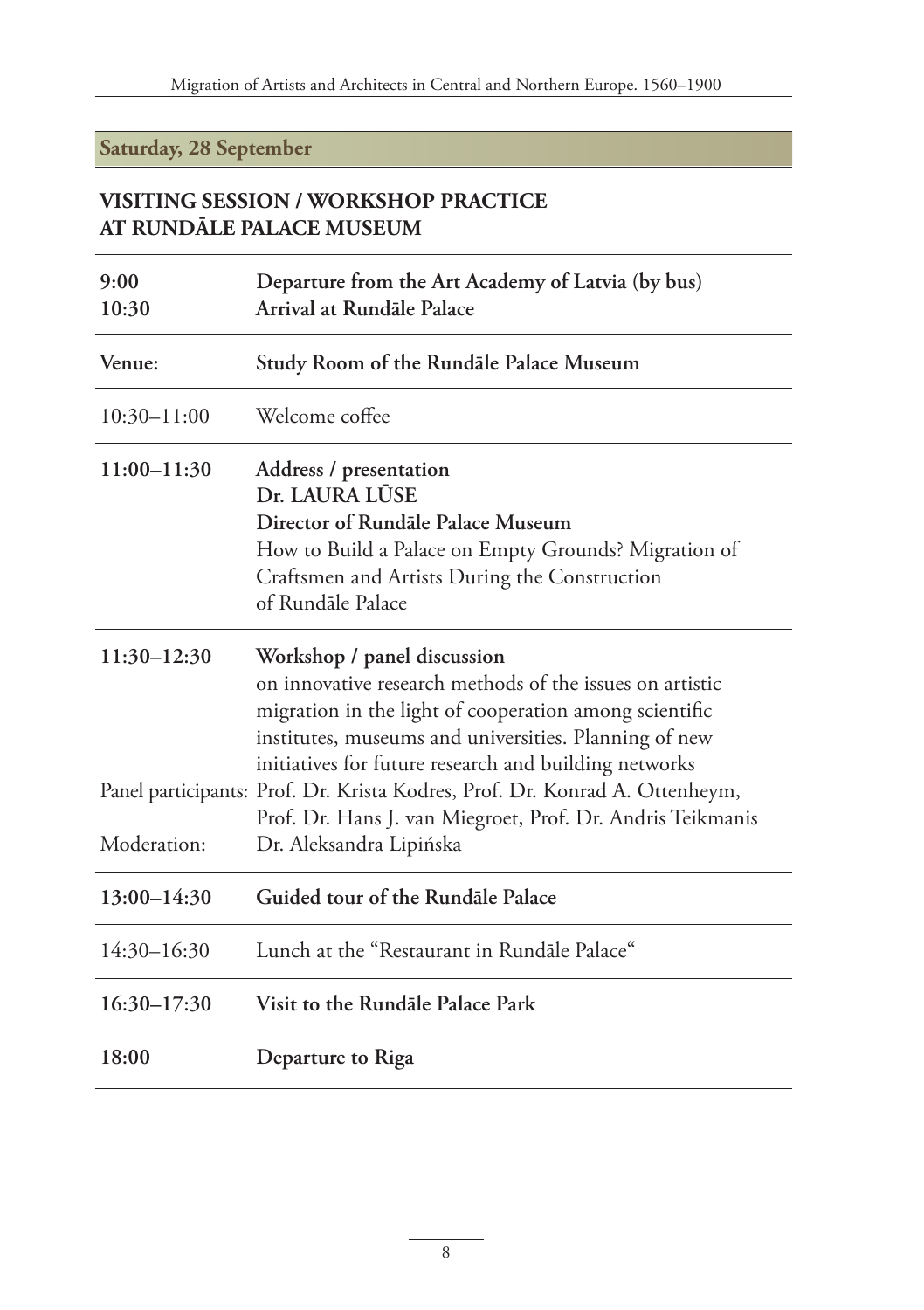### **Saturday, 28 September**

### **VISITING SESSION / WORKSHOP PRACTICE AT RUNDĀLE PALACE MUSEUM**

| 9:00<br>10:30   | Departure from the Art Academy of Latvia (by bus)<br>Arrival at Rundāle Palace                                                                                                                                                                                      |
|-----------------|---------------------------------------------------------------------------------------------------------------------------------------------------------------------------------------------------------------------------------------------------------------------|
| Venue:          | Study Room of the Rundale Palace Museum                                                                                                                                                                                                                             |
| $10:30 - 11:00$ | Welcome coffee                                                                                                                                                                                                                                                      |
| 11:00-11:30     | Address / presentation<br>Dr. LAURA LŪSE<br>Director of Rundale Palace Museum<br>How to Build a Palace on Empty Grounds? Migration of<br>Craftsmen and Artists During the Construction<br>of Rundāle Palace                                                         |
| 11:30-12:30     | Workshop / panel discussion<br>on innovative research methods of the issues on artistic<br>migration in the light of cooperation among scientific<br>institutes, museums and universities. Planning of new<br>initiatives for future research and building networks |
| Moderation:     | Panel participants: Prof. Dr. Krista Kodres, Prof. Dr. Konrad A. Ottenheym,<br>Prof. Dr. Hans J. van Miegroet, Prof. Dr. Andris Teikmanis<br>Dr. Aleksandra Lipińska                                                                                                |
| $13:00 - 14:30$ | Guided tour of the Rundale Palace                                                                                                                                                                                                                                   |
| $14:30 - 16:30$ | Lunch at the "Restaurant in Rundale Palace"                                                                                                                                                                                                                         |
| $16:30 - 17:30$ | Visit to the Rundale Palace Park                                                                                                                                                                                                                                    |
| 18:00           | Departure to Riga                                                                                                                                                                                                                                                   |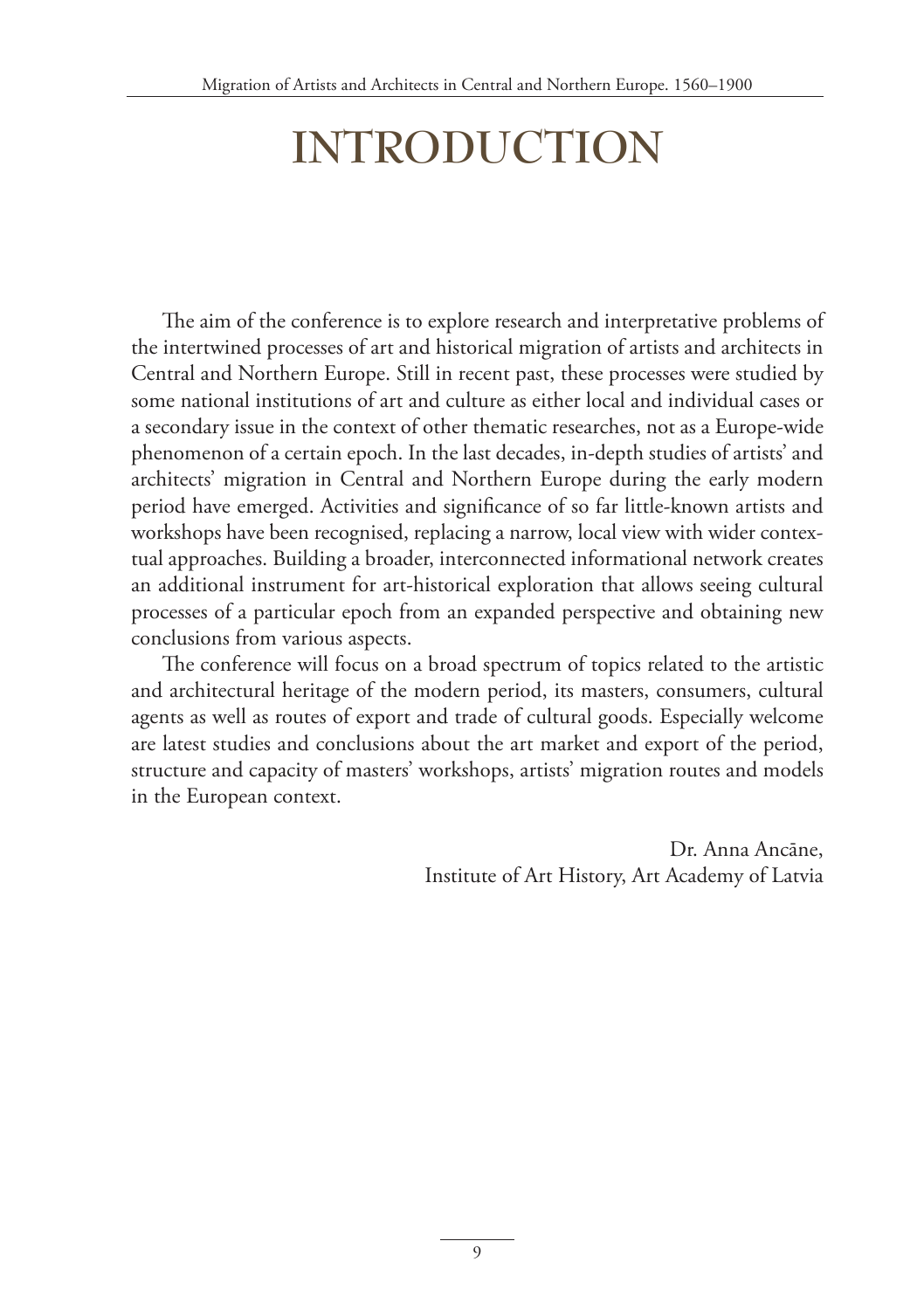# **INTRODUCTION**

The aim of the conference is to explore research and interpretative problems of the intertwined processes of art and historical migration of artists and architects in Central and Northern Europe. Still in recent past, these processes were studied by some national institutions of art and culture as either local and individual cases or a secondary issue in the context of other thematic researches, not as a Europe-wide phenomenon of a certain epoch. In the last decades, in-depth studies of artists' and architects' migration in Central and Northern Europe during the early modern period have emerged. Activities and significance of so far little-known artists and workshops have been recognised, replacing a narrow, local view with wider contextual approaches. Building a broader, interconnected informational network creates an additional instrument for art-historical exploration that allows seeing cultural processes of a particular epoch from an expanded perspective and obtaining new conclusions from various aspects.

The conference will focus on a broad spectrum of topics related to the artistic and architectural heritage of the modern period, its masters, consumers, cultural agents as well as routes of export and trade of cultural goods. Especially welcome are latest studies and conclusions about the art market and export of the period, structure and capacity of masters' workshops, artists' migration routes and models in the European context.

> Dr. Anna Ancāne, Institute of Art History, Art Academy of Latvia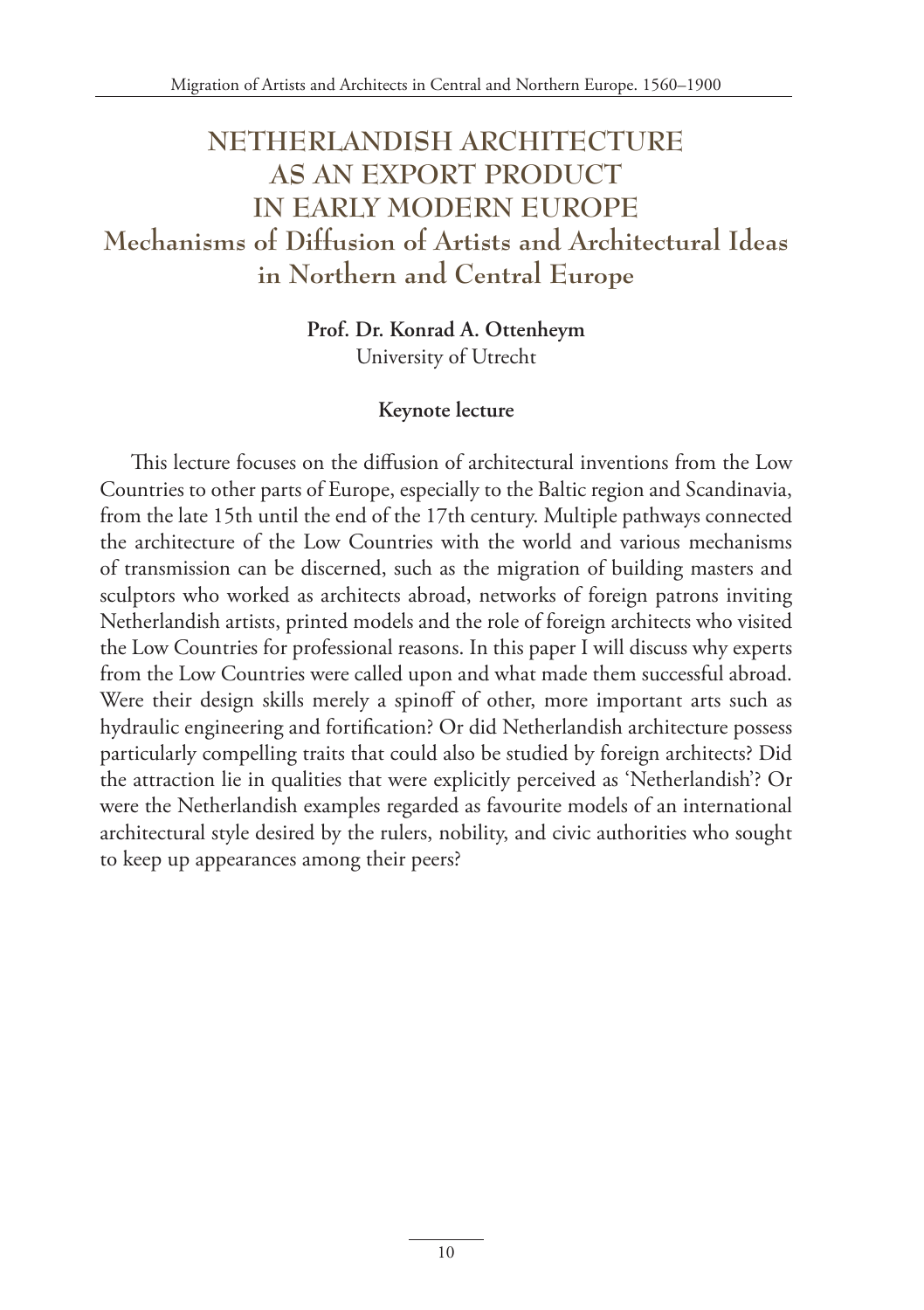# **NETHERLANDISH ARCHITECTURE AS AN EXPORT PRODUCT IN EARLY MODERN EUROPE Mechanisms of Diffusion of Artists and Architectural Ideas in Northern and Central Europe**

**Prof. Dr. Konrad A. Ottenheym** University of Utrecht

#### **Keynote lecture**

This lecture focuses on the diffusion of architectural inventions from the Low Countries to other parts of Europe, especially to the Baltic region and Scandinavia, from the late 15th until the end of the 17th century. Multiple pathways connected the architecture of the Low Countries with the world and various mechanisms of transmission can be discerned, such as the migration of building masters and sculptors who worked as architects abroad, networks of foreign patrons inviting Netherlandish artists, printed models and the role of foreign architects who visited the Low Countries for professional reasons. In this paper I will discuss why experts from the Low Countries were called upon and what made them successful abroad. Were their design skills merely a spinoff of other, more important arts such as hydraulic engineering and fortification? Or did Netherlandish architecture possess particularly compelling traits that could also be studied by foreign architects? Did the attraction lie in qualities that were explicitly perceived as 'Netherlandish'? Or were the Netherlandish examples regarded as favourite models of an international architectural style desired by the rulers, nobility, and civic authorities who sought to keep up appearances among their peers?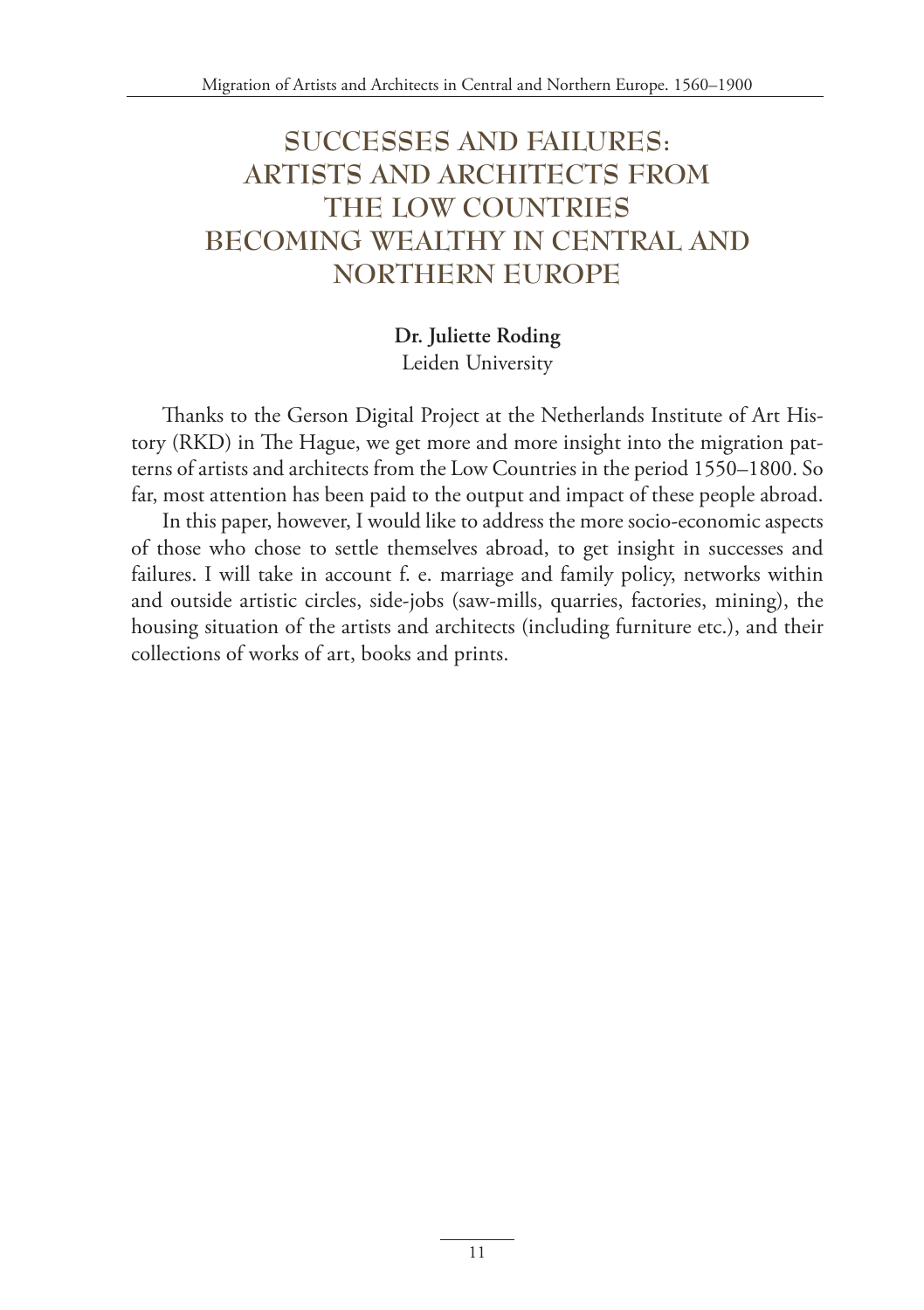# **SUCCESSES AND FAILURES: ARTISTS AND ARCHITECTS FROM THE LOW COUNTRIES BECOMING WEALTHY IN CENTRAL AND NORTHERN EUROPE**

#### **Dr. Juliette Roding** Leiden University

Thanks to the Gerson Digital Project at the Netherlands Institute of Art History (RKD) in The Hague, we get more and more insight into the migration patterns of artists and architects from the Low Countries in the period 1550–1800. So far, most attention has been paid to the output and impact of these people abroad.

In this paper, however, I would like to address the more socio-economic aspects of those who chose to settle themselves abroad, to get insight in successes and failures. I will take in account f. e. marriage and family policy, networks within and outside artistic circles, side-jobs (saw-mills, quarries, factories, mining), the housing situation of the artists and architects (including furniture etc.), and their collections of works of art, books and prints.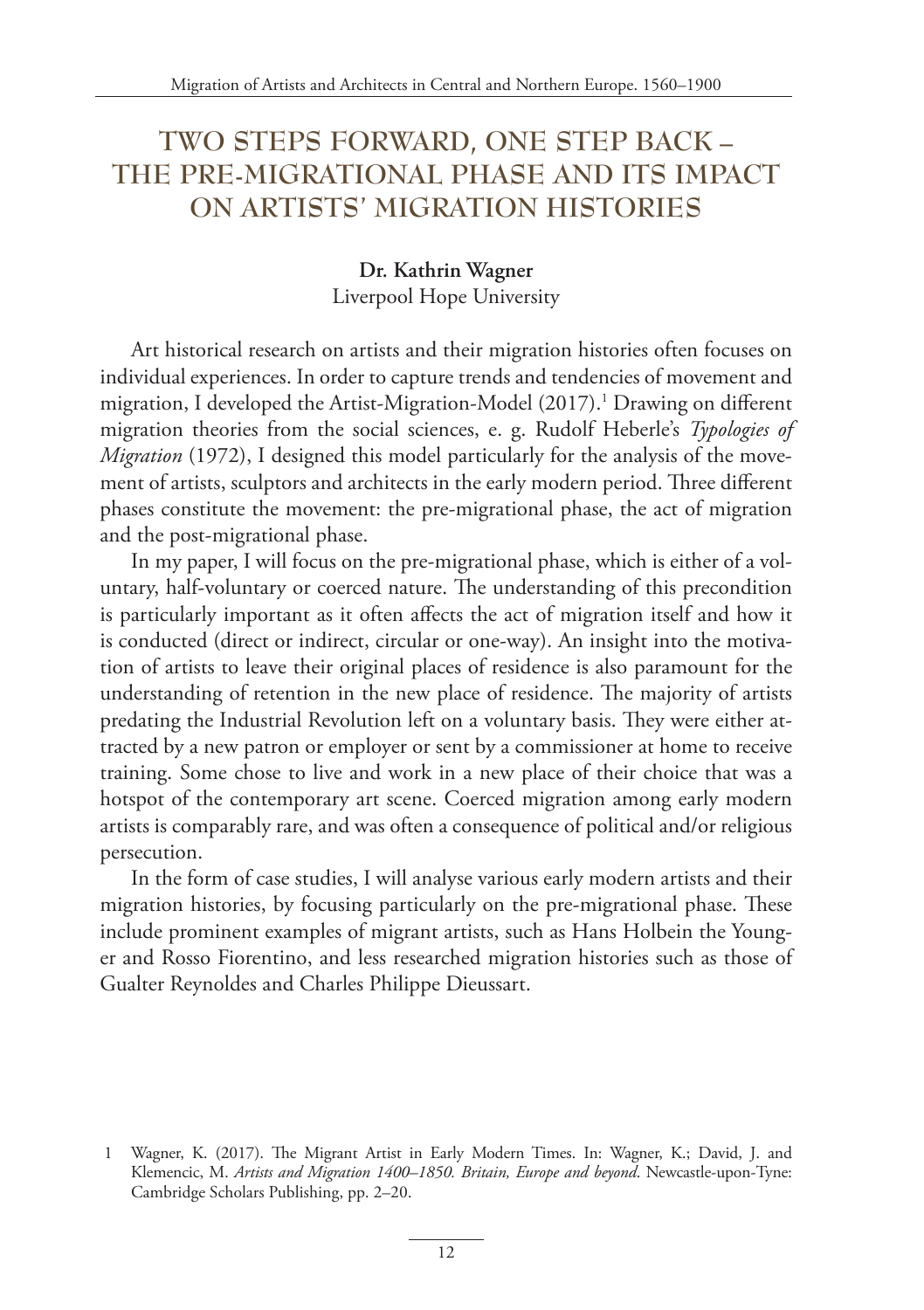# **TWO STEPS FORWARD, ONE STEP BACK – THE PRE-MIGRATIONAL PHASE AND ITS IMPACT ON ARTISTS' MIGRATION HISTORIES**

#### **Dr. Kathrin Wagner** Liverpool Hope University

Art historical research on artists and their migration histories often focuses on individual experiences. In order to capture trends and tendencies of movement and migration, I developed the Artist-Migration-Model (2017).1 Drawing on different migration theories from the social sciences, e. g. Rudolf Heberle's *Typologies of Migration* (1972), I designed this model particularly for the analysis of the movement of artists, sculptors and architects in the early modern period. Three different phases constitute the movement: the pre-migrational phase, the act of migration and the post-migrational phase.

In my paper, I will focus on the pre-migrational phase, which is either of a voluntary, half-voluntary or coerced nature. The understanding of this precondition is particularly important as it often affects the act of migration itself and how it is conducted (direct or indirect, circular or one-way). An insight into the motivation of artists to leave their original places of residence is also paramount for the understanding of retention in the new place of residence. The majority of artists predating the Industrial Revolution left on a voluntary basis. They were either attracted by a new patron or employer or sent by a commissioner at home to receive training. Some chose to live and work in a new place of their choice that was a hotspot of the contemporary art scene. Coerced migration among early modern artists is comparably rare, and was often a consequence of political and/or religious persecution.

In the form of case studies, I will analyse various early modern artists and their migration histories, by focusing particularly on the pre-migrational phase. These include prominent examples of migrant artists, such as Hans Holbein the Younger and Rosso Fiorentino, and less researched migration histories such as those of Gualter Reynoldes and Charles Philippe Dieussart.

 <sup>1</sup> Wagner, K. (2017). The Migrant Artist in Early Modern Times. In: Wagner, K.; David, J. and Klemencic, M. *Artists and Migration 1400–1850. Britain, Europe and beyond*. Newcastle-upon-Tyne: Cambridge Scholars Publishing, pp. 2–20.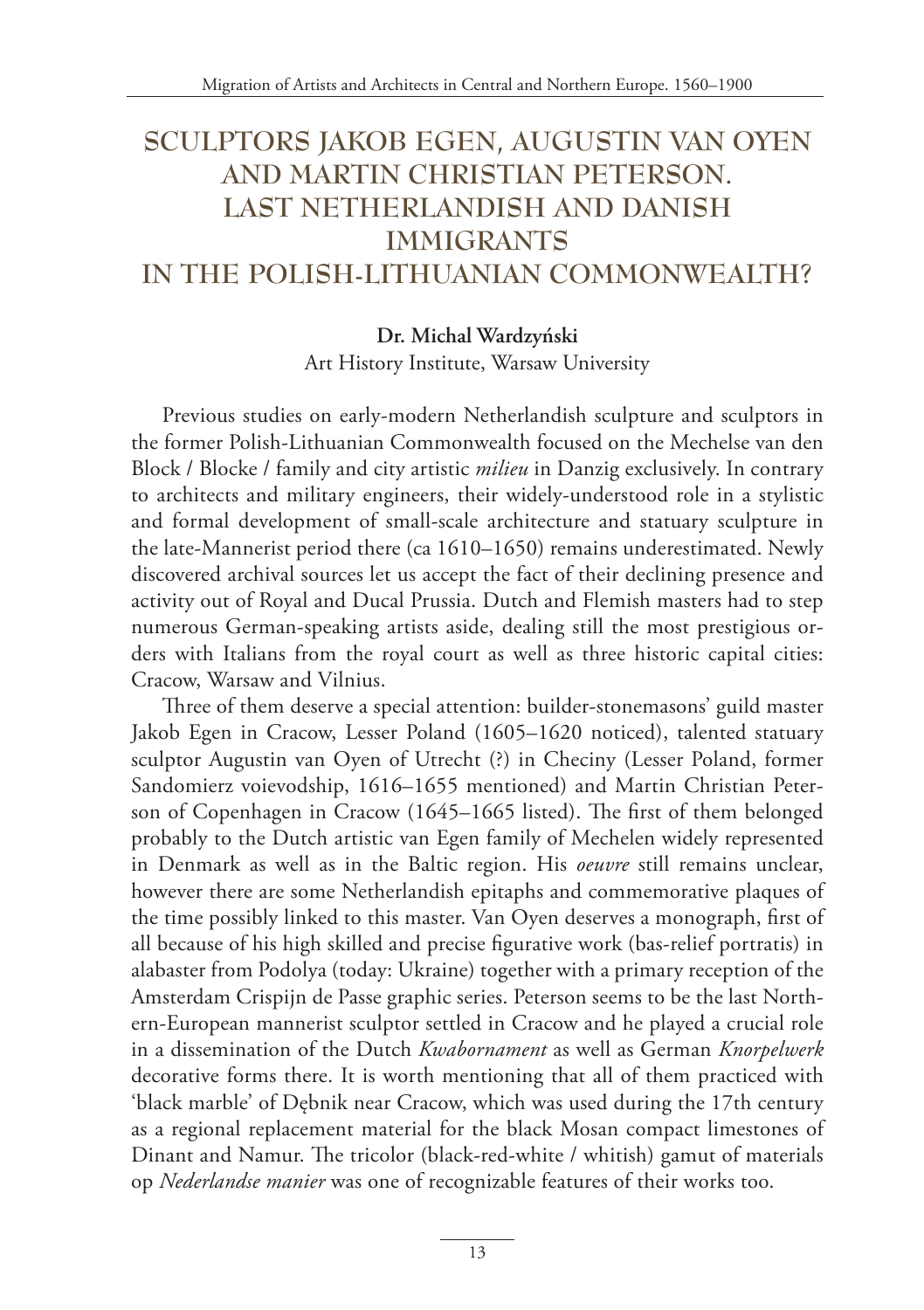# **SCULPTORS JAKOB EGEN, AUGUSTIN VAN OYEN AND MARTIN CHRISTIAN PETERSON. LAST NETHERLANDISH AND DANISH IMMIGRANTS IN THE POLISH-LITHUANIAN COMMONWEALTH?**

#### **Dr. Michal Wardzyński**

Art History Institute, Warsaw University

Previous studies on early-modern Netherlandish sculpture and sculptors in the former Polish-Lithuanian Commonwealth focused on the Mechelse van den Block / Blocke / family and city artistic *milieu* in Danzig exclusively. In contrary to architects and military engineers, their widely-understood role in a stylistic and formal development of small-scale architecture and statuary sculpture in the late-Mannerist period there (ca 1610–1650) remains underestimated. Newly discovered archival sources let us accept the fact of their declining presence and activity out of Royal and Ducal Prussia. Dutch and Flemish masters had to step numerous German-speaking artists aside, dealing still the most prestigious orders with Italians from the royal court as well as three historic capital cities: Cracow, Warsaw and Vilnius.

Three of them deserve a special attention: builder-stonemasons' guild master Jakob Egen in Cracow, Lesser Poland (1605–1620 noticed), talented statuary sculptor Augustin van Oyen of Utrecht (?) in Checiny (Lesser Poland, former Sandomierz voievodship, 1616–1655 mentioned) and Martin Christian Peterson of Copenhagen in Cracow (1645–1665 listed). The first of them belonged probably to the Dutch artistic van Egen family of Mechelen widely represented in Denmark as well as in the Baltic region. His *oeuvre* still remains unclear, however there are some Netherlandish epitaphs and commemorative plaques of the time possibly linked to this master. Van Oyen deserves a monograph, first of all because of his high skilled and precise figurative work (bas-relief portratis) in alabaster from Podolya (today: Ukraine) together with a primary reception of the Amsterdam Crispijn de Passe graphic series. Peterson seems to be the last Northern-European mannerist sculptor settled in Cracow and he played a crucial role in a dissemination of the Dutch *Kwabornament* as well as German *Knorpelwerk* decorative forms there. It is worth mentioning that all of them practiced with 'black marble' of Dębnik near Cracow, which was used during the 17th century as a regional replacement material for the black Mosan compact limestones of Dinant and Namur. The tricolor (black-red-white / whitish) gamut of materials op *Nederlandse manier* was one of recognizable features of their works too.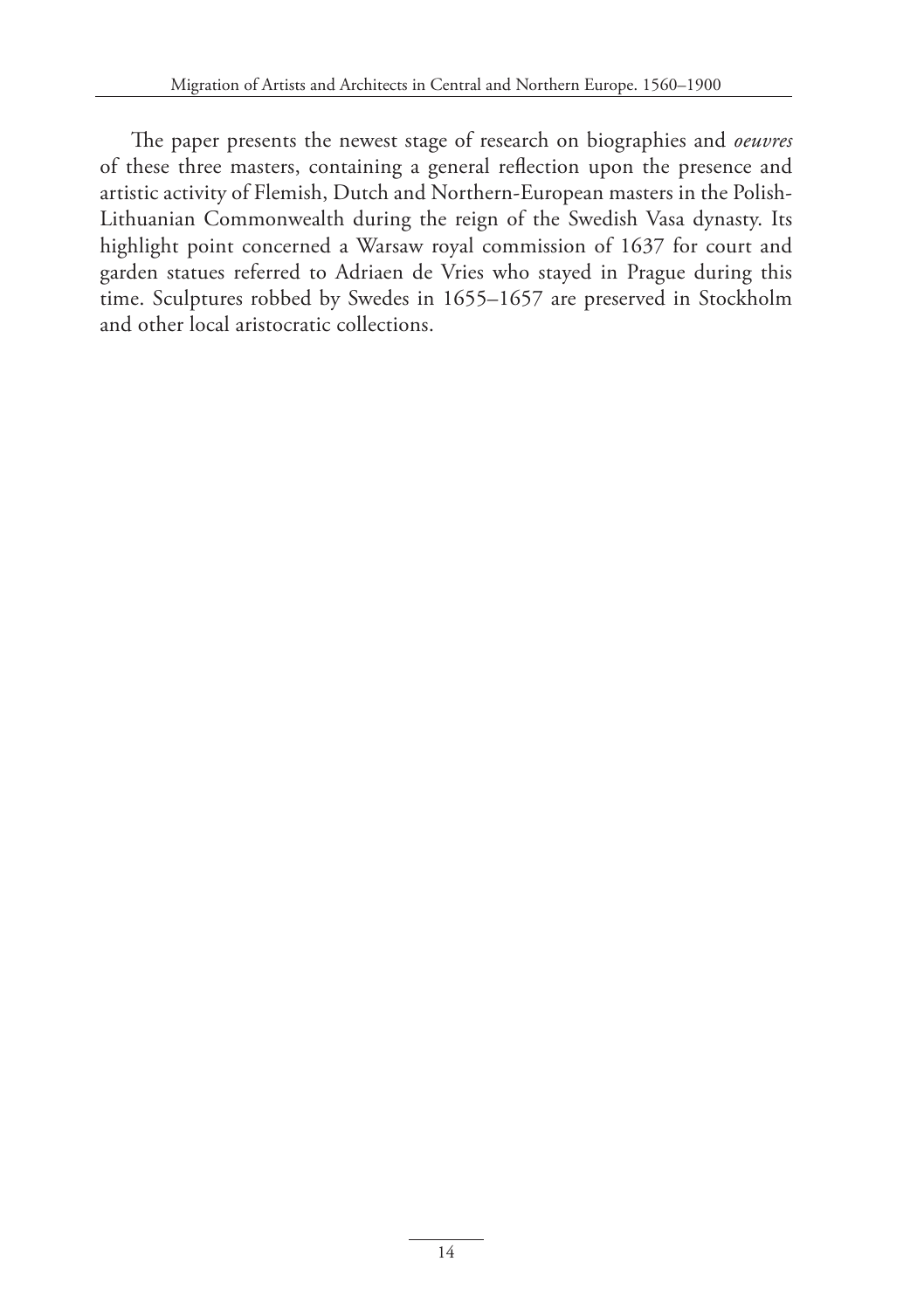The paper presents the newest stage of research on biographies and *oeuvres* of these three masters, containing a general reflection upon the presence and artistic activity of Flemish, Dutch and Northern-European masters in the Polish-Lithuanian Commonwealth during the reign of the Swedish Vasa dynasty. Its highlight point concerned a Warsaw royal commission of 1637 for court and garden statues referred to Adriaen de Vries who stayed in Prague during this time. Sculptures robbed by Swedes in 1655–1657 are preserved in Stockholm and other local aristocratic collections.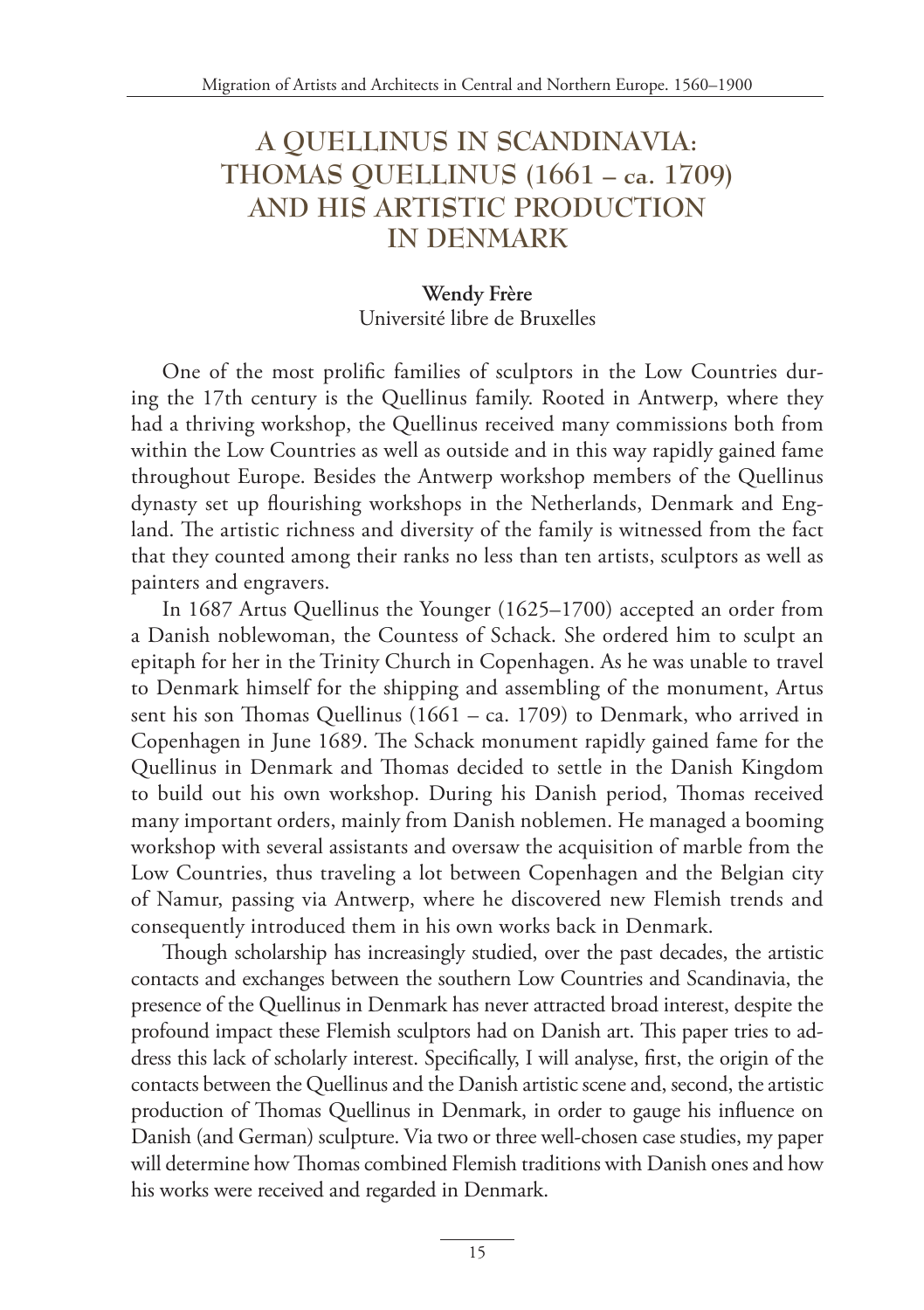### **A QUELLINUS IN SCANDINAVIA: THOMAS QUELLINUS (1661 – ca. 1709) AND HIS ARTISTIC PRODUCTION IN DENMARK**

#### **Wendy Frère** Université libre de Bruxelles

One of the most prolific families of sculptors in the Low Countries during the 17th century is the Quellinus family. Rooted in Antwerp, where they had a thriving workshop, the Quellinus received many commissions both from within the Low Countries as well as outside and in this way rapidly gained fame throughout Europe. Besides the Antwerp workshop members of the Quellinus dynasty set up flourishing workshops in the Netherlands, Denmark and England. The artistic richness and diversity of the family is witnessed from the fact that they counted among their ranks no less than ten artists, sculptors as well as painters and engravers.

In 1687 Artus Quellinus the Younger (1625–1700) accepted an order from a Danish noblewoman, the Countess of Schack. She ordered him to sculpt an epitaph for her in the Trinity Church in Copenhagen. As he was unable to travel to Denmark himself for the shipping and assembling of the monument, Artus sent his son Thomas Quellinus (1661 – ca. 1709) to Denmark, who arrived in Copenhagen in June 1689. The Schack monument rapidly gained fame for the Quellinus in Denmark and Thomas decided to settle in the Danish Kingdom to build out his own workshop. During his Danish period, Thomas received many important orders, mainly from Danish noblemen. He managed a booming workshop with several assistants and oversaw the acquisition of marble from the Low Countries, thus traveling a lot between Copenhagen and the Belgian city of Namur, passing via Antwerp, where he discovered new Flemish trends and consequently introduced them in his own works back in Denmark.

Though scholarship has increasingly studied, over the past decades, the artistic contacts and exchanges between the southern Low Countries and Scandinavia, the presence of the Quellinus in Denmark has never attracted broad interest, despite the profound impact these Flemish sculptors had on Danish art. This paper tries to address this lack of scholarly interest. Specifically, I will analyse, first, the origin of the contacts between the Quellinus and the Danish artistic scene and, second, the artistic production of Thomas Quellinus in Denmark, in order to gauge his influence on Danish (and German) sculpture. Via two or three well-chosen case studies, my paper will determine how Thomas combined Flemish traditions with Danish ones and how his works were received and regarded in Denmark.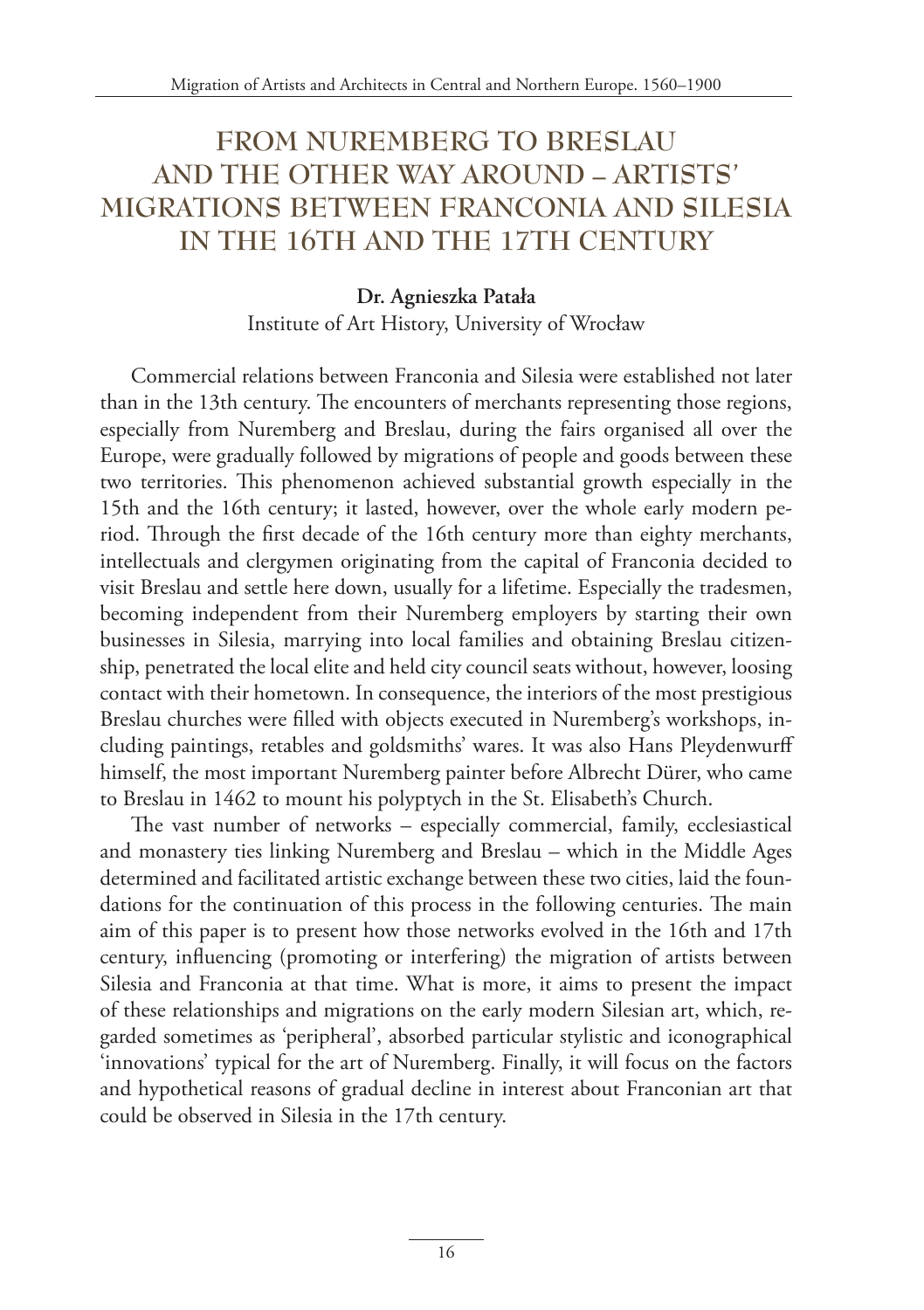# **FROM NUREMBERG TO BRESLAU AND THE OTHER WAY AROUND – ARTISTS' MIGRATIONS BETWEEN FRANCONIA AND SILESIA IN THE 16TH AND THE 17TH CENTURY**

#### **Dr. Agnieszka Patała**

Institute of Art History, University of Wrocław

Commercial relations between Franconia and Silesia were established not later than in the 13th century. The encounters of merchants representing those regions, especially from Nuremberg and Breslau, during the fairs organised all over the Europe, were gradually followed by migrations of people and goods between these two territories. This phenomenon achieved substantial growth especially in the 15th and the 16th century; it lasted, however, over the whole early modern period. Through the first decade of the 16th century more than eighty merchants, intellectuals and clergymen originating from the capital of Franconia decided to visit Breslau and settle here down, usually for a lifetime. Especially the tradesmen, becoming independent from their Nuremberg employers by starting their own businesses in Silesia, marrying into local families and obtaining Breslau citizenship, penetrated the local elite and held city council seats without, however, loosing contact with their hometown. In consequence, the interiors of the most prestigious Breslau churches were filled with objects executed in Nuremberg's workshops, including paintings, retables and goldsmiths' wares. It was also Hans Pleydenwurff himself, the most important Nuremberg painter before Albrecht Dürer, who came to Breslau in 1462 to mount his polyptych in the St. Elisabeth's Church.

The vast number of networks – especially commercial, family, ecclesiastical and monastery ties linking Nuremberg and Breslau – which in the Middle Ages determined and facilitated artistic exchange between these two cities, laid the foundations for the continuation of this process in the following centuries. The main aim of this paper is to present how those networks evolved in the 16th and 17th century, influencing (promoting or interfering) the migration of artists between Silesia and Franconia at that time. What is more, it aims to present the impact of these relationships and migrations on the early modern Silesian art, which, regarded sometimes as 'peripheral', absorbed particular stylistic and iconographical 'innovations' typical for the art of Nuremberg. Finally, it will focus on the factors and hypothetical reasons of gradual decline in interest about Franconian art that could be observed in Silesia in the 17th century.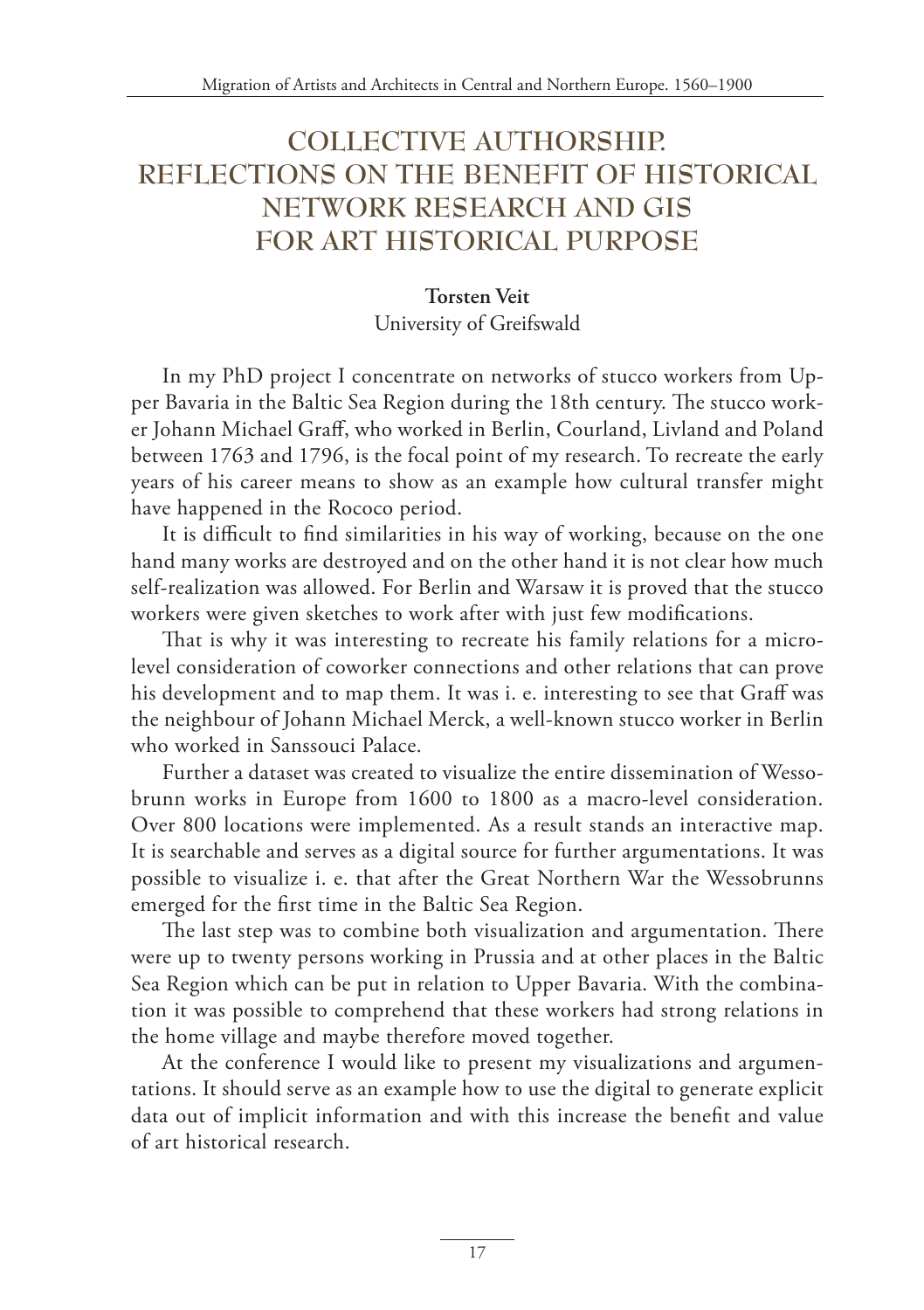# **COLLECTIVE AUTHORSHIP. REFLECTIONS ON THE BENEFIT OF HISTORICAL NETWORK RESEARCH AND GIS FOR ART HISTORICAL PURPOSE**

### **Torsten Veit**

University of Greifswald

In my PhD project I concentrate on networks of stucco workers from Upper Bavaria in the Baltic Sea Region during the 18th century. The stucco worker Johann Michael Graff, who worked in Berlin, Courland, Livland and Poland between 1763 and 1796, is the focal point of my research. To recreate the early years of his career means to show as an example how cultural transfer might have happened in the Rococo period.

It is difficult to find similarities in his way of working, because on the one hand many works are destroyed and on the other hand it is not clear how much self-realization was allowed. For Berlin and Warsaw it is proved that the stucco workers were given sketches to work after with just few modifications.

That is why it was interesting to recreate his family relations for a microlevel consideration of coworker connections and other relations that can prove his development and to map them. It was i. e. interesting to see that Graff was the neighbour of Johann Michael Merck, a well-known stucco worker in Berlin who worked in Sanssouci Palace.

Further a dataset was created to visualize the entire dissemination of Wessobrunn works in Europe from 1600 to 1800 as a macro-level consideration. Over 800 locations were implemented. As a result stands an interactive map. It is searchable and serves as a digital source for further argumentations. It was possible to visualize i. e. that after the Great Northern War the Wessobrunns emerged for the first time in the Baltic Sea Region.

The last step was to combine both visualization and argumentation. There were up to twenty persons working in Prussia and at other places in the Baltic Sea Region which can be put in relation to Upper Bavaria. With the combination it was possible to comprehend that these workers had strong relations in the home village and maybe therefore moved together.

At the conference I would like to present my visualizations and argumentations. It should serve as an example how to use the digital to generate explicit data out of implicit information and with this increase the benefit and value of art historical research.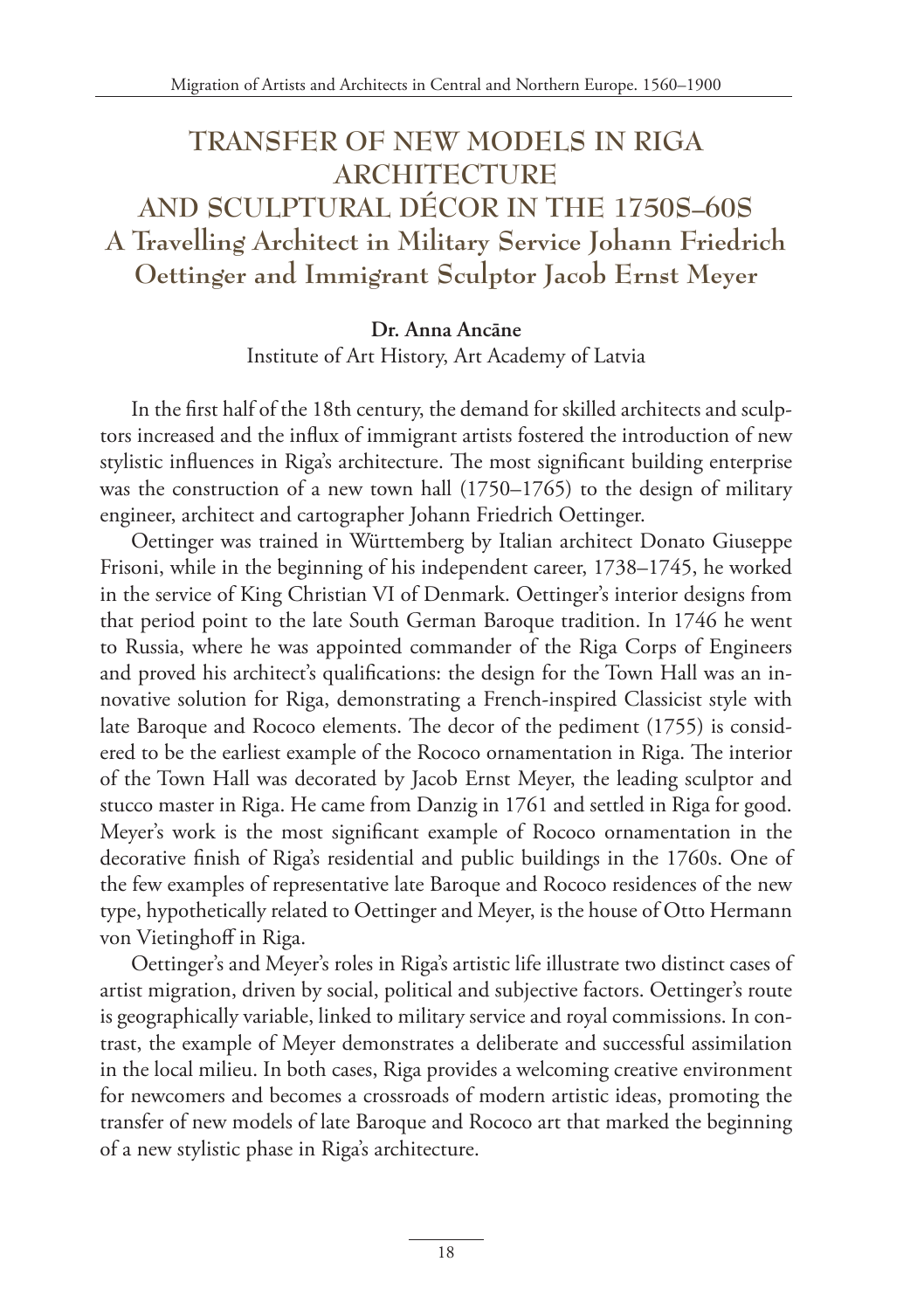# **TRANSFER OF NEW MODELS IN RIGA ARCHITECTURE AND SCULPTURAL DÉCOR IN THE 1750S–60S A Travelling Architect in Military Service Johann Friedrich Oettinger and Immigrant Sculptor Jacob Ernst Meyer**

**Dr. Anna Ancāne**  Institute of Art History, Art Academy of Latvia

In the first half of the 18th century, the demand for skilled architects and sculptors increased and the influx of immigrant artists fostered the introduction of new stylistic influences in Riga's architecture. The most significant building enterprise was the construction of a new town hall (1750–1765) to the design of military engineer, architect and cartographer Johann Friedrich Oettinger.

Oettinger was trained in Württemberg by Italian architect Donato Giuseppe Frisoni, while in the beginning of his independent career, 1738–1745, he worked in the service of King Christian VI of Denmark. Oettinger's interior designs from that period point to the late South German Baroque tradition. In 1746 he went to Russia, where he was appointed commander of the Riga Corps of Engineers and proved his architect's qualifications: the design for the Town Hall was an innovative solution for Riga, demonstrating a French-inspired Classicist style with late Baroque and Rococo elements. The decor of the pediment (1755) is considered to be the earliest example of the Rococo ornamentation in Riga. The interior of the Town Hall was decorated by Jacob Ernst Meyer, the leading sculptor and stucco master in Riga. He came from Danzig in 1761 and settled in Riga for good. Meyer's work is the most significant example of Rococo ornamentation in the decorative finish of Riga's residential and public buildings in the 1760s. One of the few examples of representative late Baroque and Rococo residences of the new type, hypothetically related to Oettinger and Meyer, is the house of Otto Hermann von Vietinghoff in Riga.

Oettinger's and Meyer's roles in Riga's artistic life illustrate two distinct cases of artist migration, driven by social, political and subjective factors. Oettinger's route is geographically variable, linked to military service and royal commissions. In contrast, the example of Meyer demonstrates a deliberate and successful assimilation in the local milieu. In both cases, Riga provides a welcoming creative environment for newcomers and becomes a crossroads of modern artistic ideas, promoting the transfer of new models of late Baroque and Rococo art that marked the beginning of a new stylistic phase in Riga's architecture.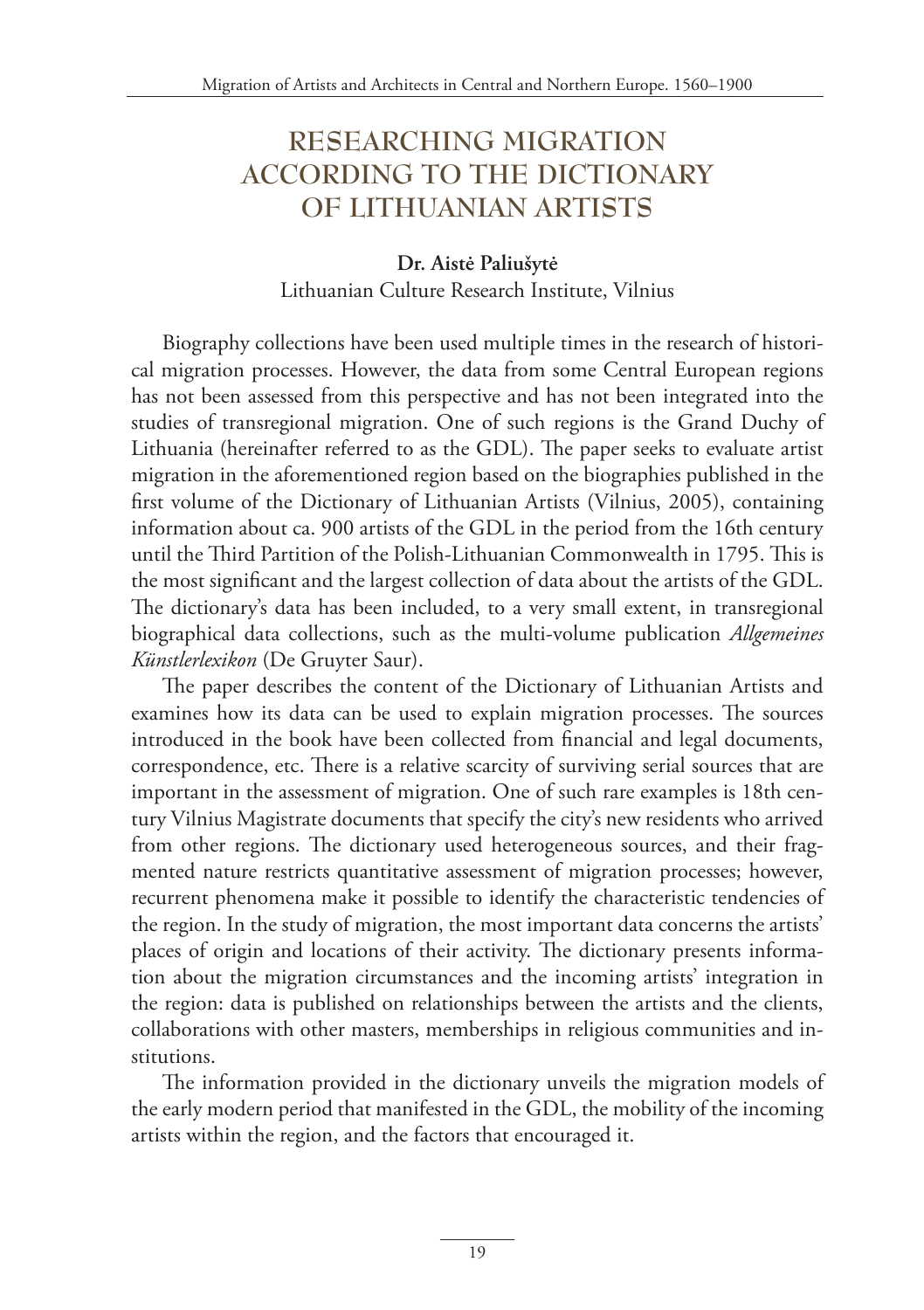# **RESEARCHING MIGRATION ACCORDING TO THE DICTIONARY OF LITHUANIAN ARTISTS**

### **Dr. Aistė Paliušytė** Lithuanian Culture Research Institute, Vilnius

Biography collections have been used multiple times in the research of historical migration processes. However, the data from some Central European regions has not been assessed from this perspective and has not been integrated into the studies of transregional migration. One of such regions is the Grand Duchy of Lithuania (hereinafter referred to as the GDL). The paper seeks to evaluate artist migration in the aforementioned region based on the biographies published in the first volume of the Dictionary of Lithuanian Artists (Vilnius, 2005), containing information about ca. 900 artists of the GDL in the period from the 16th century until the Third Partition of the Polish-Lithuanian Commonwealth in 1795. This is the most significant and the largest collection of data about the artists of the GDL. The dictionary's data has been included, to a very small extent, in transregional biographical data collections, such as the multi-volume publication *Allgemeines Künstlerlexikon* (De Gruyter Saur).

The paper describes the content of the Dictionary of Lithuanian Artists and examines how its data can be used to explain migration processes. The sources introduced in the book have been collected from financial and legal documents, correspondence, etc. There is a relative scarcity of surviving serial sources that are important in the assessment of migration. One of such rare examples is 18th century Vilnius Magistrate documents that specify the city's new residents who arrived from other regions. The dictionary used heterogeneous sources, and their fragmented nature restricts quantitative assessment of migration processes; however, recurrent phenomena make it possible to identify the characteristic tendencies of the region. In the study of migration, the most important data concerns the artists' places of origin and locations of their activity. The dictionary presents information about the migration circumstances and the incoming artists' integration in the region: data is published on relationships between the artists and the clients, collaborations with other masters, memberships in religious communities and institutions.

The information provided in the dictionary unveils the migration models of the early modern period that manifested in the GDL, the mobility of the incoming artists within the region, and the factors that encouraged it.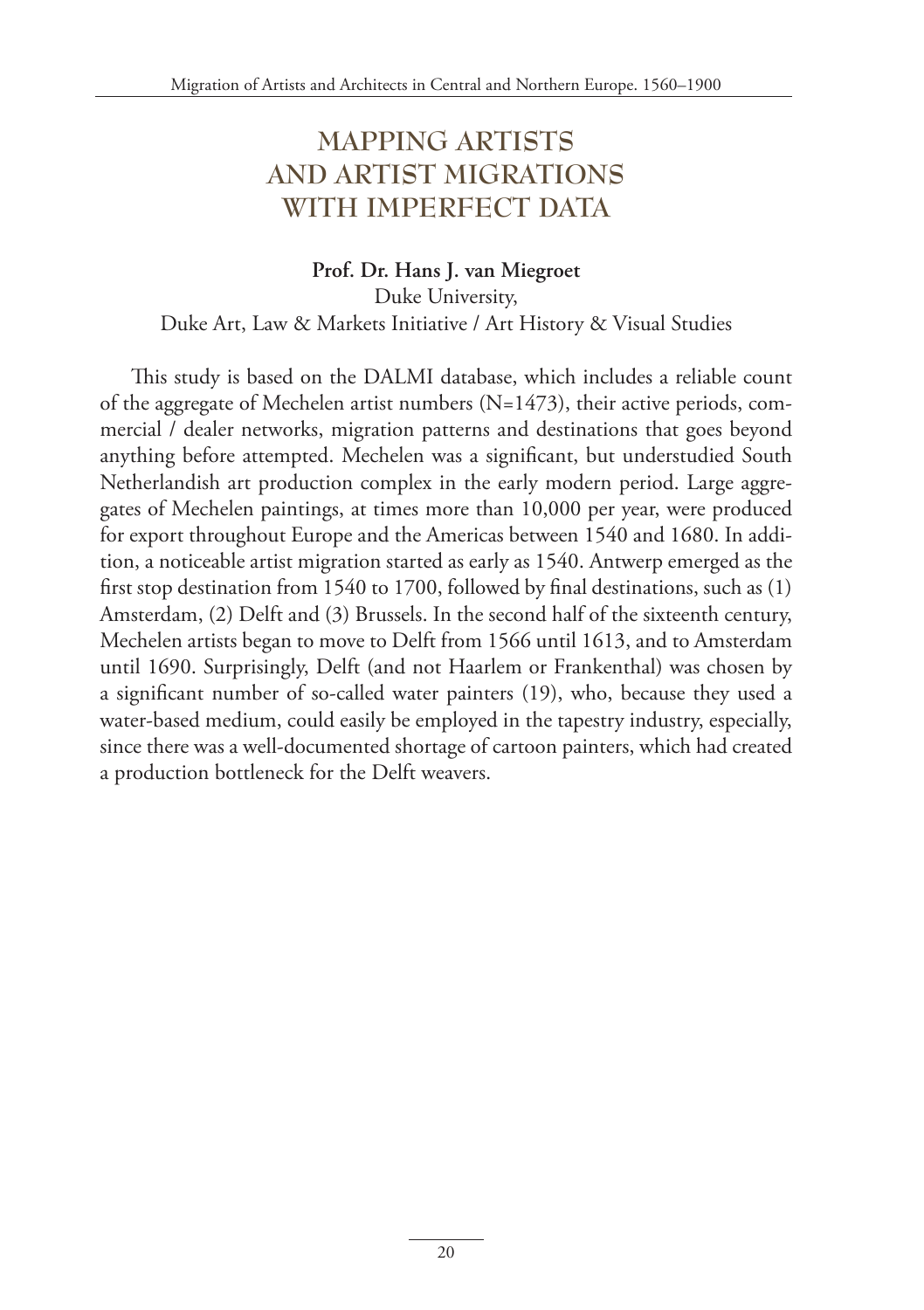# **MAPPING ARTISTS AND ARTIST MIGRATIONS WITH IMPERFECT DATA**

#### **Prof. Dr. Hans J. van Miegroet** Duke University, Duke Art, Law & Markets Initiative / Art History & Visual Studies

This study is based on the DALMI database, which includes a reliable count of the aggregate of Mechelen artist numbers (N=1473), their active periods, commercial / dealer networks, migration patterns and destinations that goes beyond anything before attempted. Mechelen was a significant, but understudied South Netherlandish art production complex in the early modern period. Large aggregates of Mechelen paintings, at times more than 10,000 per year, were produced for export throughout Europe and the Americas between 1540 and 1680. In addition, a noticeable artist migration started as early as 1540. Antwerp emerged as the first stop destination from 1540 to 1700, followed by final destinations, such as (1) Amsterdam, (2) Delft and (3) Brussels. In the second half of the sixteenth century, Mechelen artists began to move to Delft from 1566 until 1613, and to Amsterdam until 1690. Surprisingly, Delft (and not Haarlem or Frankenthal) was chosen by a significant number of so-called water painters (19), who, because they used a water-based medium, could easily be employed in the tapestry industry, especially, since there was a well-documented shortage of cartoon painters, which had created a production bottleneck for the Delft weavers.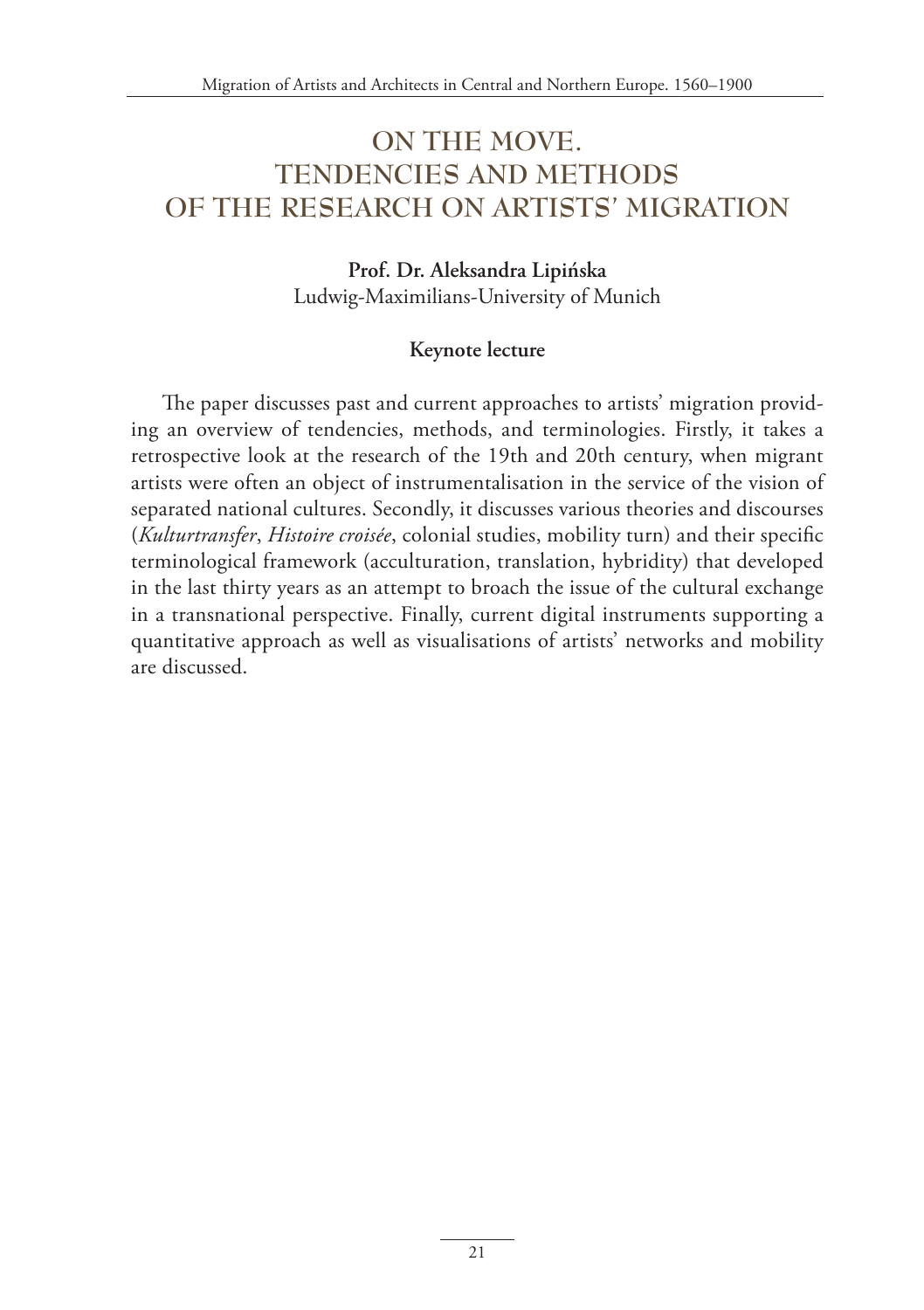# **ON THE MOVE. TENDENCIES AND METHODS OF THE RESEARCH ON ARTISTS' MIGRATION**

**Prof. Dr. Aleksandra Lipińska** Ludwig-Maximilians-University of Munich

#### **Keynote lecture**

The paper discusses past and current approaches to artists' migration providing an overview of tendencies, methods, and terminologies. Firstly, it takes a retrospective look at the research of the 19th and 20th century, when migrant artists were often an object of instrumentalisation in the service of the vision of separated national cultures. Secondly, it discusses various theories and discourses (*Kulturtransfer*, *Histoire croisée*, colonial studies, mobility turn) and their specific terminological framework (acculturation, translation, hybridity) that developed in the last thirty years as an attempt to broach the issue of the cultural exchange in a transnational perspective. Finally, current digital instruments supporting a quantitative approach as well as visualisations of artists' networks and mobility are discussed.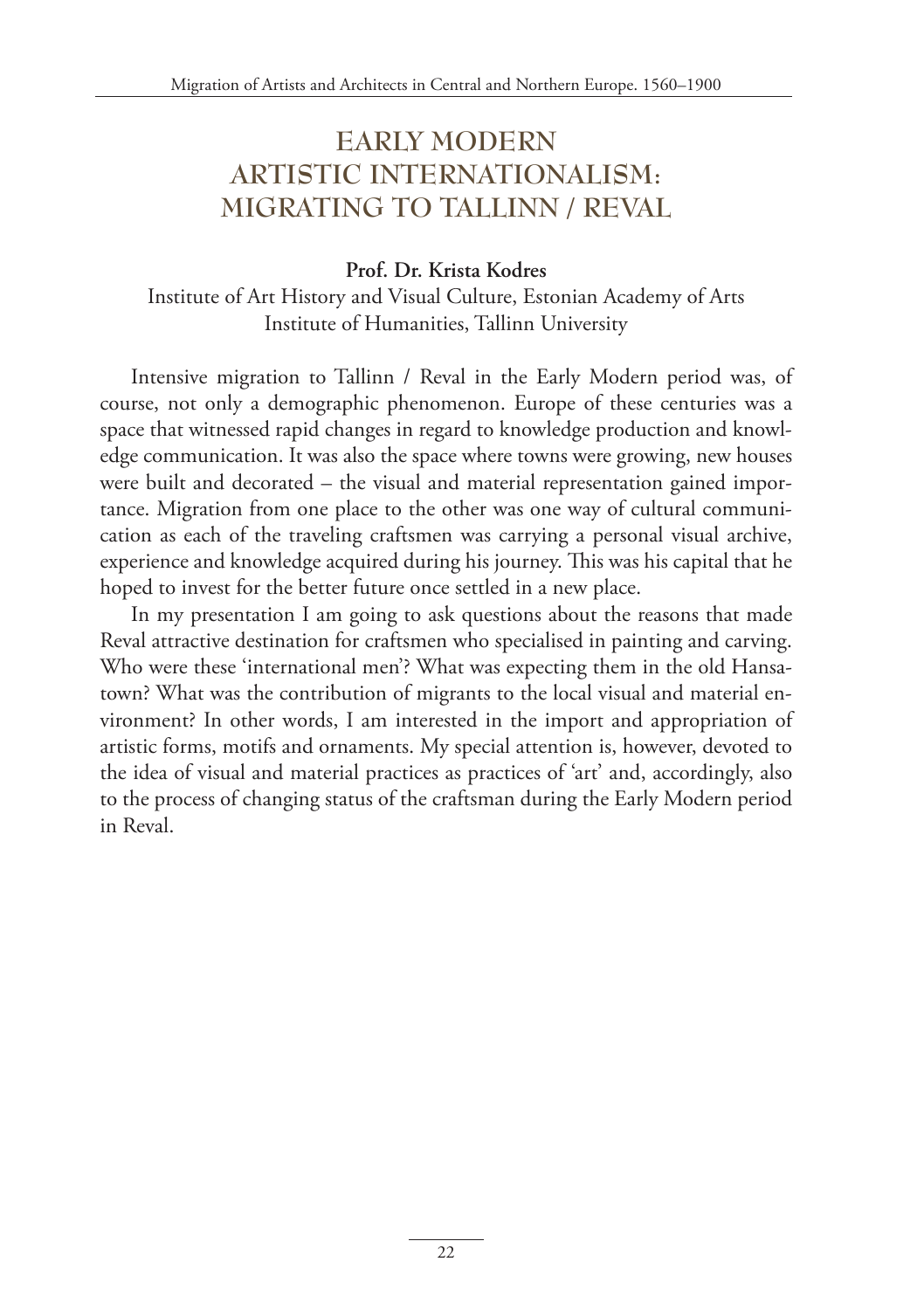# **EARLY MODERN ARTISTIC INTERNATIONALISM: MIGRATING TO TALLINN / REVAL**

#### **Prof. Dr. Krista Kodres**  Institute of Art History and Visual Culture, Estonian Academy of Arts Institute of Humanities, Tallinn University

Intensive migration to Tallinn / Reval in the Early Modern period was, of course, not only a demographic phenomenon. Europe of these centuries was a space that witnessed rapid changes in regard to knowledge production and knowledge communication. It was also the space where towns were growing, new houses were built and decorated – the visual and material representation gained importance. Migration from one place to the other was one way of cultural communication as each of the traveling craftsmen was carrying a personal visual archive, experience and knowledge acquired during his journey. This was his capital that he hoped to invest for the better future once settled in a new place.

In my presentation I am going to ask questions about the reasons that made Reval attractive destination for craftsmen who specialised in painting and carving. Who were these 'international men'? What was expecting them in the old Hansatown? What was the contribution of migrants to the local visual and material environment? In other words, I am interested in the import and appropriation of artistic forms, motifs and ornaments. My special attention is, however, devoted to the idea of visual and material practices as practices of 'art' and, accordingly, also to the process of changing status of the craftsman during the Early Modern period in Reval.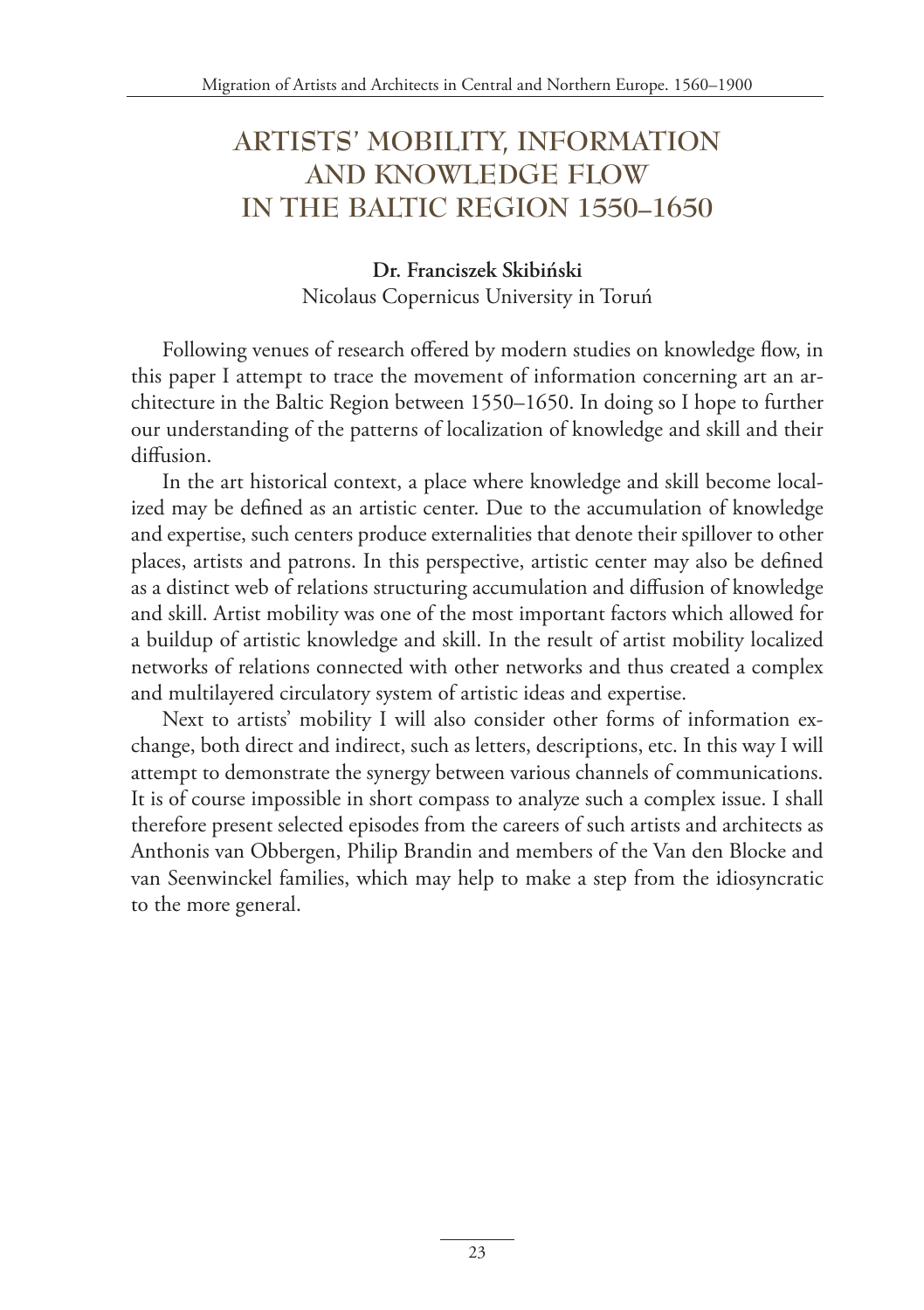# **ARTISTS' MOBILITY, INFORMATION AND KNOWLEDGE FLOW IN THE BALTIC REGION 1550–1650**

### **Dr. Franciszek Skibiński** Nicolaus Copernicus University in Toruń

Following venues of research offered by modern studies on knowledge flow, in this paper I attempt to trace the movement of information concerning art an architecture in the Baltic Region between 1550–1650. In doing so I hope to further our understanding of the patterns of localization of knowledge and skill and their diffusion.

In the art historical context, a place where knowledge and skill become localized may be defined as an artistic center. Due to the accumulation of knowledge and expertise, such centers produce externalities that denote their spillover to other places, artists and patrons. In this perspective, artistic center may also be defined as a distinct web of relations structuring accumulation and diffusion of knowledge and skill. Artist mobility was one of the most important factors which allowed for a buildup of artistic knowledge and skill. In the result of artist mobility localized networks of relations connected with other networks and thus created a complex and multilayered circulatory system of artistic ideas and expertise.

Next to artists' mobility I will also consider other forms of information exchange, both direct and indirect, such as letters, descriptions, etc. In this way I will attempt to demonstrate the synergy between various channels of communications. It is of course impossible in short compass to analyze such a complex issue. I shall therefore present selected episodes from the careers of such artists and architects as Anthonis van Obbergen, Philip Brandin and members of the Van den Blocke and van Seenwinckel families, which may help to make a step from the idiosyncratic to the more general.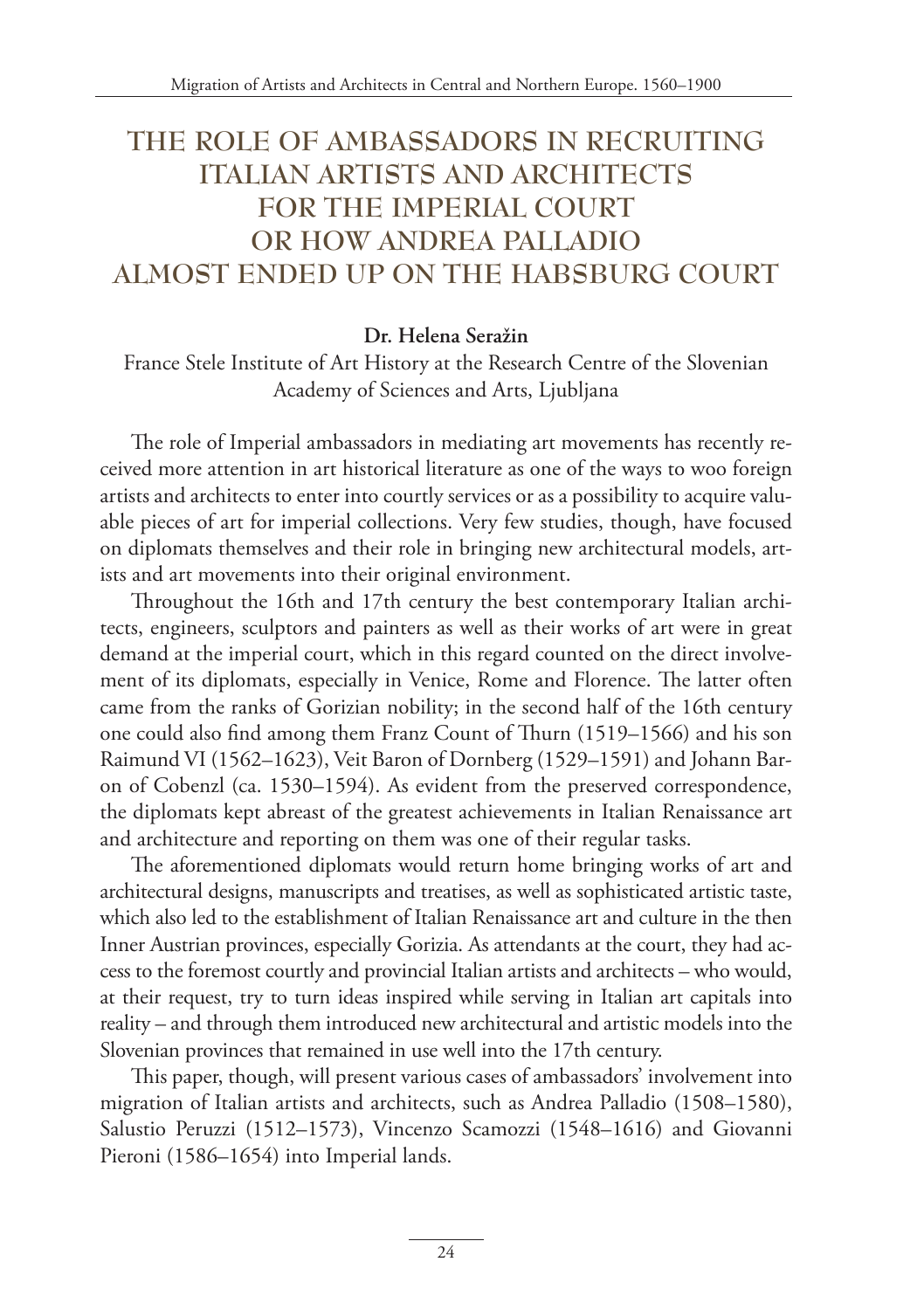# **THE ROLE OF AMBASSADORS IN RECRUITING ITALIAN ARTISTS AND ARCHITECTS FOR THE IMPERIAL COURT OR HOW ANDREA PALLADIO ALMOST ENDED UP ON THE HABSBURG COURT**

#### **Dr. Helena Seražin**

France Stele Institute of Art History at the Research Centre of the Slovenian Academy of Sciences and Arts, Ljubljana

The role of Imperial ambassadors in mediating art movements has recently received more attention in art historical literature as one of the ways to woo foreign artists and architects to enter into courtly services or as a possibility to acquire valuable pieces of art for imperial collections. Very few studies, though, have focused on diplomats themselves and their role in bringing new architectural models, artists and art movements into their original environment.

Throughout the 16th and 17th century the best contemporary Italian architects, engineers, sculptors and painters as well as their works of art were in great demand at the imperial court, which in this regard counted on the direct involvement of its diplomats, especially in Venice, Rome and Florence. The latter often came from the ranks of Gorizian nobility; in the second half of the 16th century one could also find among them Franz Count of Thurn (1519–1566) and his son Raimund VI (1562–1623), Veit Baron of Dornberg (1529–1591) and Johann Baron of Cobenzl (ca. 1530–1594). As evident from the preserved correspondence, the diplomats kept abreast of the greatest achievements in Italian Renaissance art and architecture and reporting on them was one of their regular tasks.

The aforementioned diplomats would return home bringing works of art and architectural designs, manuscripts and treatises, as well as sophisticated artistic taste, which also led to the establishment of Italian Renaissance art and culture in the then Inner Austrian provinces, especially Gorizia. As attendants at the court, they had access to the foremost courtly and provincial Italian artists and architects – who would, at their request, try to turn ideas inspired while serving in Italian art capitals into reality – and through them introduced new architectural and artistic models into the Slovenian provinces that remained in use well into the 17th century.

This paper, though, will present various cases of ambassadors' involvement into migration of Italian artists and architects, such as Andrea Palladio (1508–1580), Salustio Peruzzi (1512–1573), Vincenzo Scamozzi (1548–1616) and Giovanni Pieroni (1586–1654) into Imperial lands.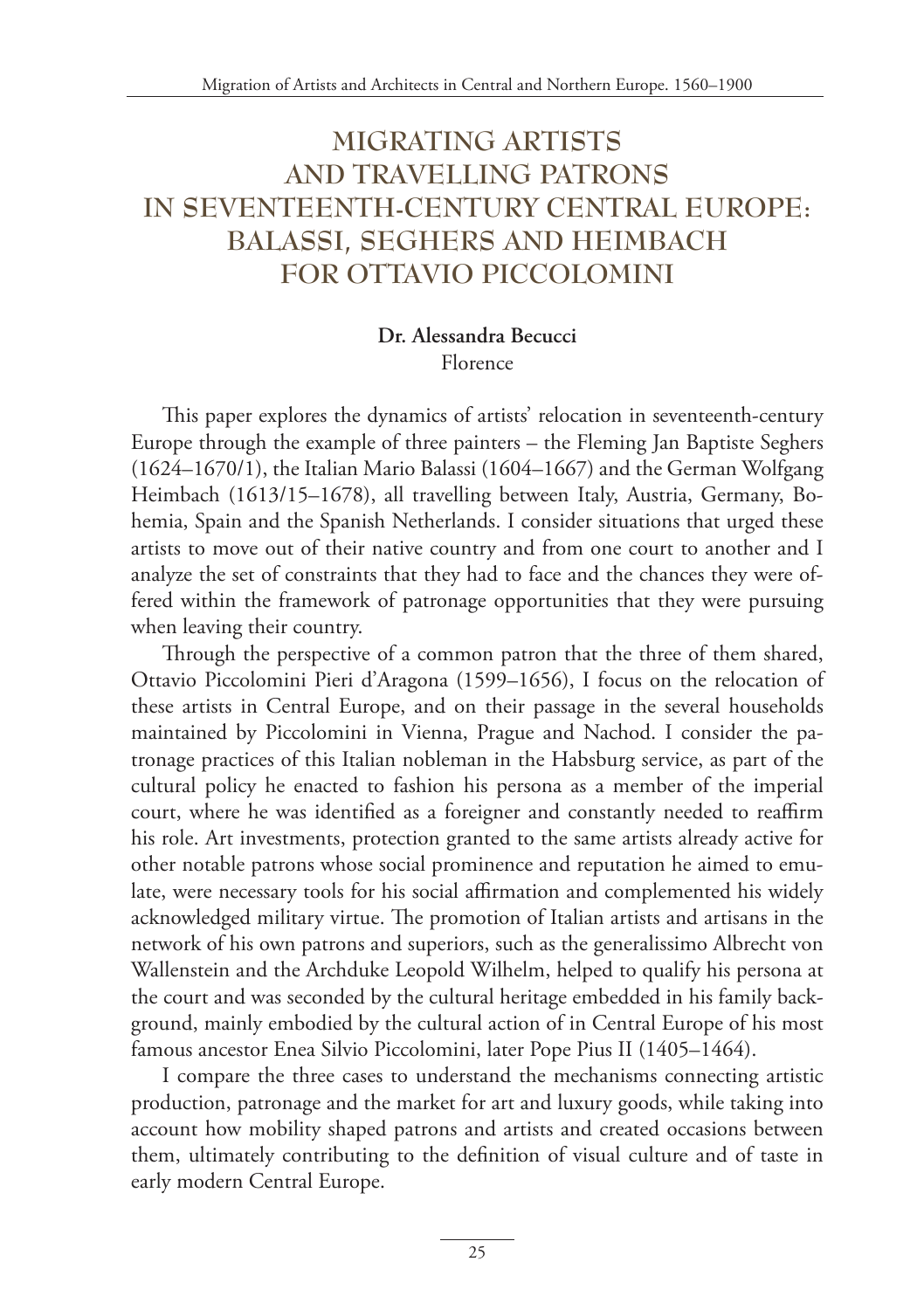# **MIGRATING ARTISTS AND TRAVELLING PATRONS IN SEVENTEENTH-CENTURY CENTRAL EUROPE: BALASSI, SEGHERS AND HEIMBACH FOR OTTAVIO PICCOLOMINI**

#### **Dr. Alessandra Becucci** Florence

This paper explores the dynamics of artists' relocation in seventeenth-century Europe through the example of three painters – the Fleming Jan Baptiste Seghers (1624–1670/1), the Italian Mario Balassi (1604–1667) and the German Wolfgang Heimbach (1613/15–1678), all travelling between Italy, Austria, Germany, Bohemia, Spain and the Spanish Netherlands. I consider situations that urged these artists to move out of their native country and from one court to another and I analyze the set of constraints that they had to face and the chances they were offered within the framework of patronage opportunities that they were pursuing when leaving their country.

Through the perspective of a common patron that the three of them shared, Ottavio Piccolomini Pieri d'Aragona (1599–1656), I focus on the relocation of these artists in Central Europe, and on their passage in the several households maintained by Piccolomini in Vienna, Prague and Nachod. I consider the patronage practices of this Italian nobleman in the Habsburg service, as part of the cultural policy he enacted to fashion his persona as a member of the imperial court, where he was identified as a foreigner and constantly needed to reaffirm his role. Art investments, protection granted to the same artists already active for other notable patrons whose social prominence and reputation he aimed to emulate, were necessary tools for his social affirmation and complemented his widely acknowledged military virtue. The promotion of Italian artists and artisans in the network of his own patrons and superiors, such as the generalissimo Albrecht von Wallenstein and the Archduke Leopold Wilhelm, helped to qualify his persona at the court and was seconded by the cultural heritage embedded in his family background, mainly embodied by the cultural action of in Central Europe of his most famous ancestor Enea Silvio Piccolomini, later Pope Pius II (1405–1464).

I compare the three cases to understand the mechanisms connecting artistic production, patronage and the market for art and luxury goods, while taking into account how mobility shaped patrons and artists and created occasions between them, ultimately contributing to the definition of visual culture and of taste in early modern Central Europe.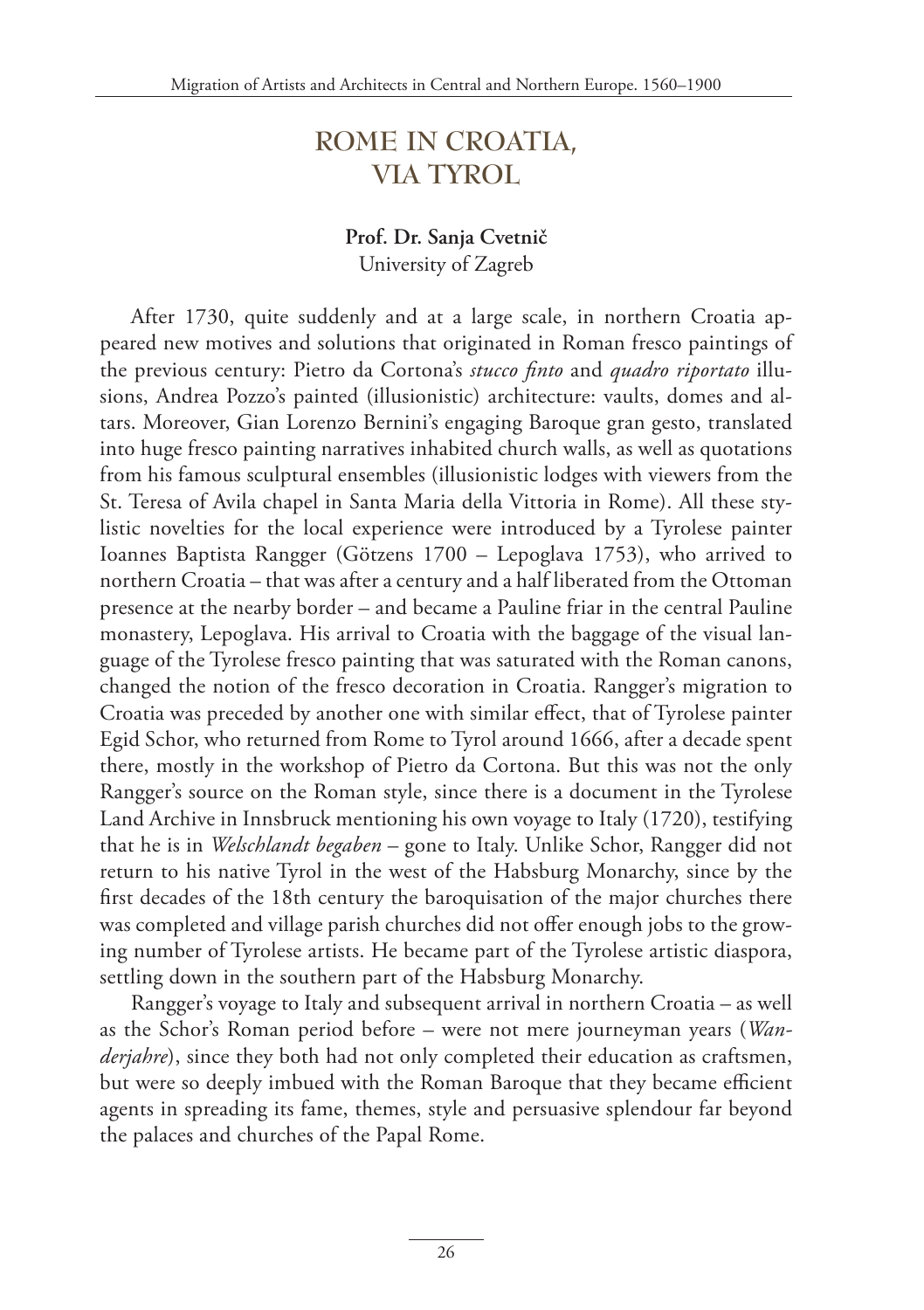### **ROME IN CROATIA, VIA TYROL**

#### **Prof. Dr. Sanja Cvetnič** University of Zagreb

After 1730, quite suddenly and at a large scale, in northern Croatia appeared new motives and solutions that originated in Roman fresco paintings of the previous century: Pietro da Cortona's *stucco finto* and *quadro riportato* illusions, Andrea Pozzo's painted (illusionistic) architecture: vaults, domes and altars. Moreover, Gian Lorenzo Bernini's engaging Baroque gran gesto, translated into huge fresco painting narratives inhabited church walls, as well as quotations from his famous sculptural ensembles (illusionistic lodges with viewers from the St. Teresa of Avila chapel in Santa Maria della Vittoria in Rome). All these stylistic novelties for the local experience were introduced by a Tyrolese painter Ioannes Baptista Rangger (Götzens 1700 – Lepoglava 1753), who arrived to northern Croatia – that was after a century and a half liberated from the Ottoman presence at the nearby border – and became a Pauline friar in the central Pauline monastery, Lepoglava. His arrival to Croatia with the baggage of the visual language of the Tyrolese fresco painting that was saturated with the Roman canons, changed the notion of the fresco decoration in Croatia. Rangger's migration to Croatia was preceded by another one with similar effect, that of Tyrolese painter Egid Schor, who returned from Rome to Tyrol around 1666, after a decade spent there, mostly in the workshop of Pietro da Cortona. But this was not the only Rangger's source on the Roman style, since there is a document in the Tyrolese Land Archive in Innsbruck mentioning his own voyage to Italy (1720), testifying that he is in *Welschlandt begaben* – gone to Italy. Unlike Schor, Rangger did not return to his native Tyrol in the west of the Habsburg Monarchy, since by the first decades of the 18th century the baroquisation of the major churches there was completed and village parish churches did not offer enough jobs to the growing number of Tyrolese artists. He became part of the Tyrolese artistic diaspora, settling down in the southern part of the Habsburg Monarchy.

Rangger's voyage to Italy and subsequent arrival in northern Croatia – as well as the Schor's Roman period before – were not mere journeyman years (*Wanderjahre*), since they both had not only completed their education as craftsmen, but were so deeply imbued with the Roman Baroque that they became efficient agents in spreading its fame, themes, style and persuasive splendour far beyond the palaces and churches of the Papal Rome.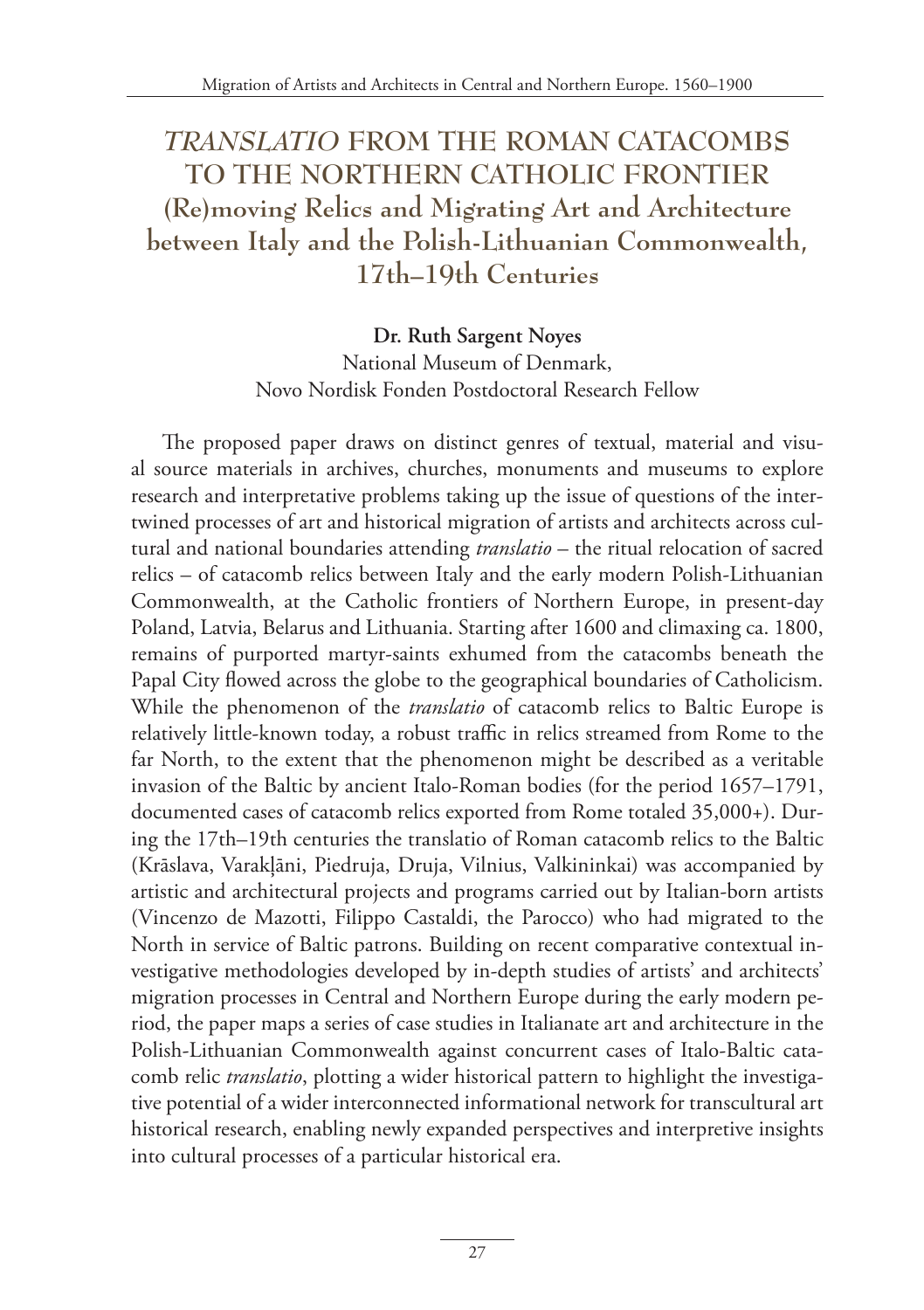# *TRANSLATIO* **FROM THE ROMAN CATACOMBS TO THE NORTHERN CATHOLIC FRONTIER (Re)moving Relics and Migrating Art and Architecture between Italy and the Polish-Lithuanian Commonwealth, 17th–19th Centuries**

#### **Dr. Ruth Sargent Noyes**

National Museum of Denmark, Novo Nordisk Fonden Postdoctoral Research Fellow

The proposed paper draws on distinct genres of textual, material and visual source materials in archives, churches, monuments and museums to explore research and interpretative problems taking up the issue of questions of the intertwined processes of art and historical migration of artists and architects across cultural and national boundaries attending *translatio* – the ritual relocation of sacred relics – of catacomb relics between Italy and the early modern Polish-Lithuanian Commonwealth, at the Catholic frontiers of Northern Europe, in present-day Poland, Latvia, Belarus and Lithuania. Starting after 1600 and climaxing ca. 1800, remains of purported martyr-saints exhumed from the catacombs beneath the Papal City flowed across the globe to the geographical boundaries of Catholicism. While the phenomenon of the *translatio* of catacomb relics to Baltic Europe is relatively little-known today, a robust traffic in relics streamed from Rome to the far North, to the extent that the phenomenon might be described as a veritable invasion of the Baltic by ancient Italo-Roman bodies (for the period 1657–1791, documented cases of catacomb relics exported from Rome totaled 35,000+). During the 17th–19th centuries the translatio of Roman catacomb relics to the Baltic (Krāslava, Varakļāni, Piedruja, Druja, Vilnius, Valkininkai) was accompanied by artistic and architectural projects and programs carried out by Italian-born artists (Vincenzo de Mazotti, Filippo Castaldi, the Parocco) who had migrated to the North in service of Baltic patrons. Building on recent comparative contextual investigative methodologies developed by in-depth studies of artists' and architects' migration processes in Central and Northern Europe during the early modern period, the paper maps a series of case studies in Italianate art and architecture in the Polish-Lithuanian Commonwealth against concurrent cases of Italo-Baltic catacomb relic *translatio*, plotting a wider historical pattern to highlight the investigative potential of a wider interconnected informational network for transcultural art historical research, enabling newly expanded perspectives and interpretive insights into cultural processes of a particular historical era.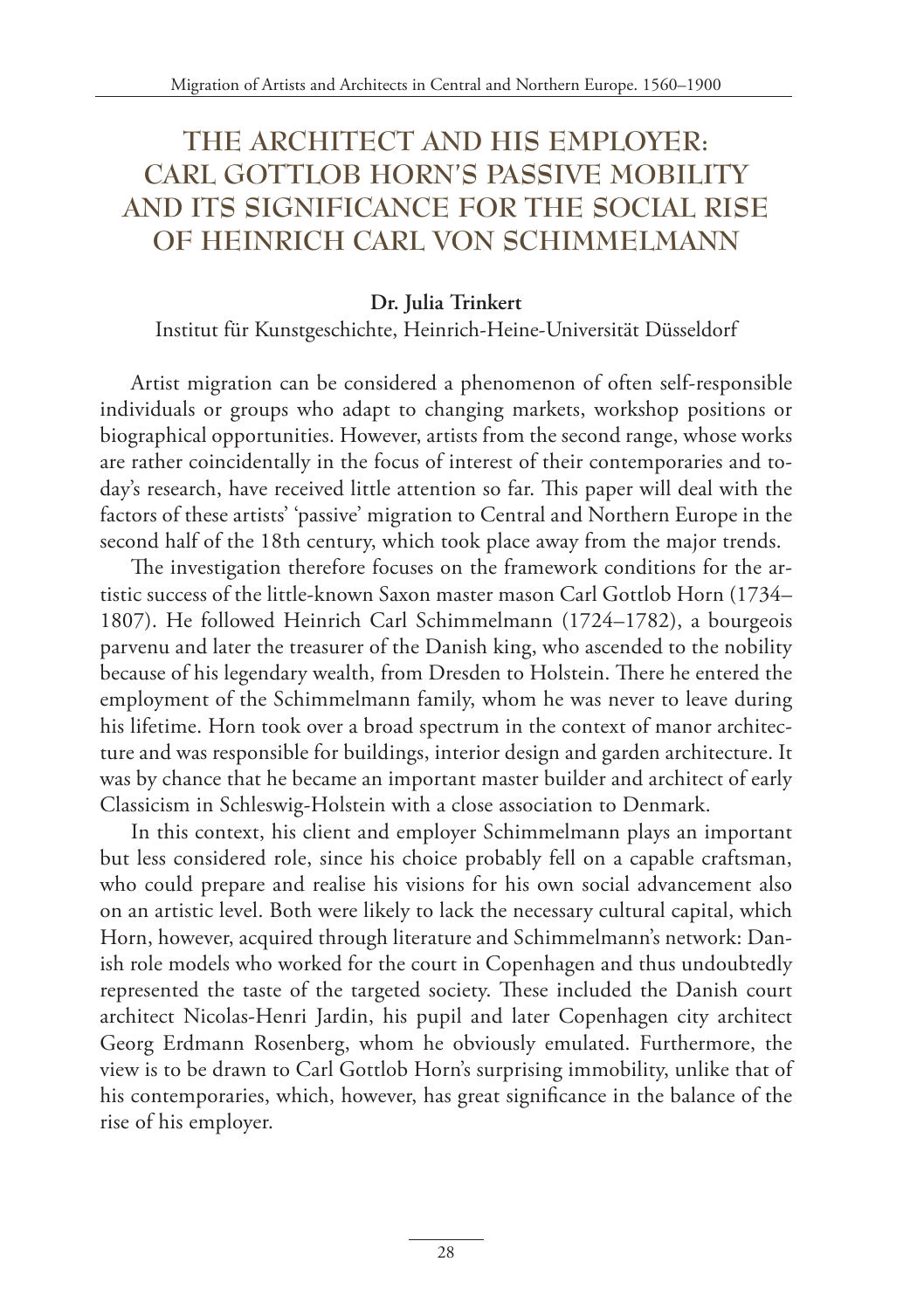# **THE ARCHITECT AND HIS EMPLOYER: CARL GOTTLOB HORN'S PASSIVE MOBILITY AND ITS SIGNIFICANCE FOR THE SOCIAL RISE OF HEINRICH CARL VON SCHIMMELMANN**

#### **Dr. Julia Trinkert**

Institut für Kunstgeschichte, Heinrich-Heine-Universität Düsseldorf

Artist migration can be considered a phenomenon of often self-responsible individuals or groups who adapt to changing markets, workshop positions or biographical opportunities. However, artists from the second range, whose works are rather coincidentally in the focus of interest of their contemporaries and today's research, have received little attention so far. This paper will deal with the factors of these artists' 'passive' migration to Central and Northern Europe in the second half of the 18th century, which took place away from the major trends.

The investigation therefore focuses on the framework conditions for the artistic success of the little-known Saxon master mason Carl Gottlob Horn (1734– 1807). He followed Heinrich Carl Schimmelmann (1724–1782), a bourgeois parvenu and later the treasurer of the Danish king, who ascended to the nobility because of his legendary wealth, from Dresden to Holstein. There he entered the employment of the Schimmelmann family, whom he was never to leave during his lifetime. Horn took over a broad spectrum in the context of manor architecture and was responsible for buildings, interior design and garden architecture. It was by chance that he became an important master builder and architect of early Classicism in Schleswig-Holstein with a close association to Denmark.

In this context, his client and employer Schimmelmann plays an important but less considered role, since his choice probably fell on a capable craftsman, who could prepare and realise his visions for his own social advancement also on an artistic level. Both were likely to lack the necessary cultural capital, which Horn, however, acquired through literature and Schimmelmann's network: Danish role models who worked for the court in Copenhagen and thus undoubtedly represented the taste of the targeted society. These included the Danish court architect Nicolas-Henri Jardin, his pupil and later Copenhagen city architect Georg Erdmann Rosenberg, whom he obviously emulated. Furthermore, the view is to be drawn to Carl Gottlob Horn's surprising immobility, unlike that of his contemporaries, which, however, has great significance in the balance of the rise of his employer.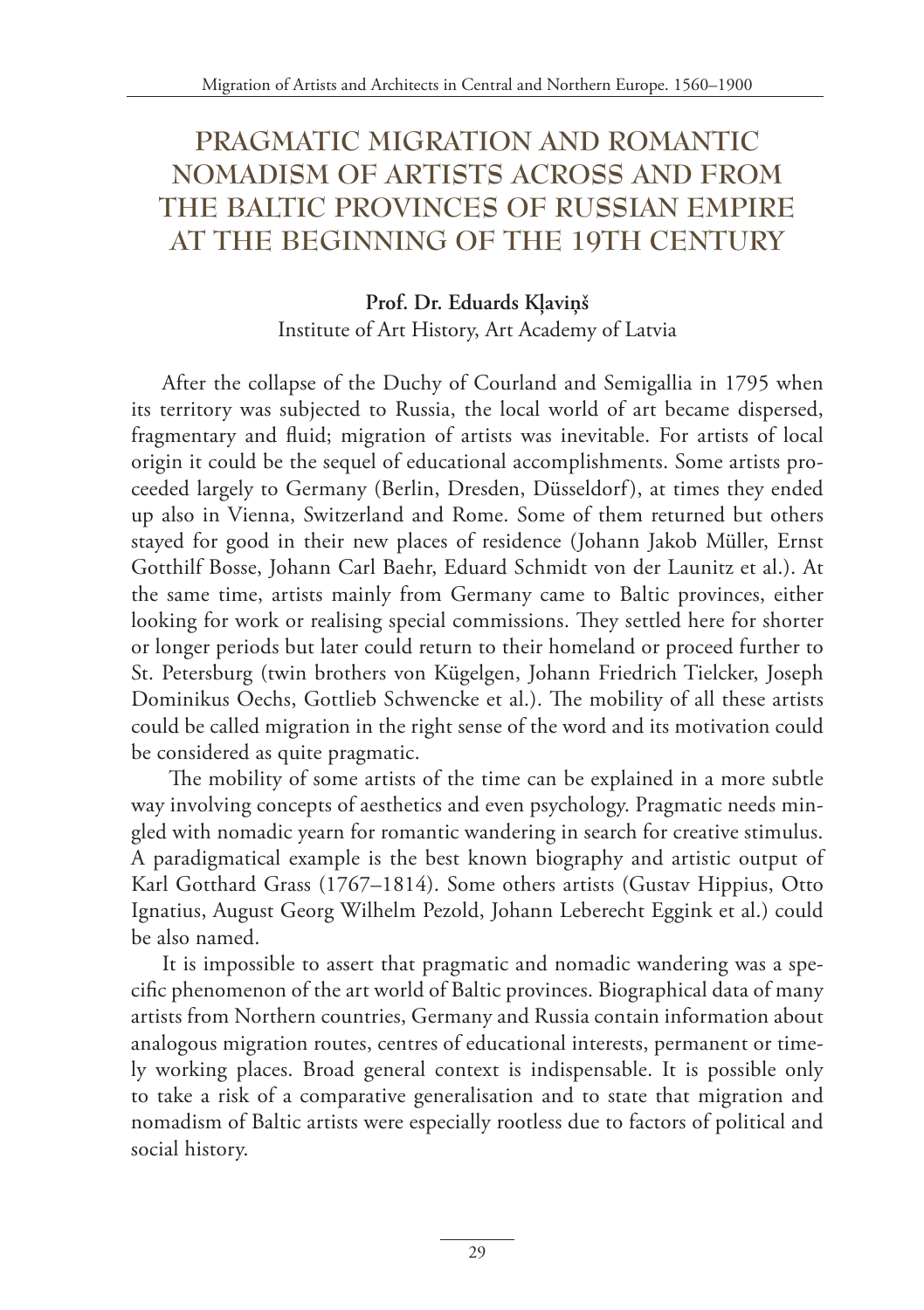# **PRAGMATIC MIGRATION AND ROMANTIC NOMADISM OF ARTISTS ACROSS AND FROM THE BALTIC PROVINCES OF RUSSIAN EMPIRE AT THE BEGINNING OF THE 19TH CENTURY**

#### **Prof. Dr. Eduards Kļaviņš** Institute of Art History, Art Academy of Latvia

After the collapse of the Duchy of Courland and Semigallia in 1795 when its territory was subjected to Russia, the local world of art became dispersed, fragmentary and fluid; migration of artists was inevitable. For artists of local origin it could be the sequel of educational accomplishments. Some artists proceeded largely to Germany (Berlin, Dresden, Düsseldorf), at times they ended up also in Vienna, Switzerland and Rome. Some of them returned but others stayed for good in their new places of residence (Johann Jakob Müller, Ernst Gotthilf Bosse, Johann Carl Baehr, Eduard Schmidt von der Launitz et al.). At the same time, artists mainly from Germany came to Baltic provinces, either looking for work or realising special commissions. They settled here for shorter or longer periods but later could return to their homeland or proceed further to St. Petersburg (twin brothers von Kügelgen, Johann Friedrich Tielcker, Joseph Dominikus Oechs, Gottlieb Schwencke et al.). The mobility of all these artists could be called migration in the right sense of the word and its motivation could be considered as quite pragmatic.

 The mobility of some artists of the time can be explained in a more subtle way involving concepts of aesthetics and even psychology. Pragmatic needs mingled with nomadic yearn for romantic wandering in search for creative stimulus. A paradigmatical example is the best known biography and artistic output of Karl Gotthard Grass (1767–1814). Some others artists (Gustav Hippius, Otto Ignatius, August Georg Wilhelm Pezold, Johann Leberecht Eggink et al.) could be also named.

It is impossible to assert that pragmatic and nomadic wandering was a specific phenomenon of the art world of Baltic provinces. Biographical data of many artists from Northern countries, Germany and Russia contain information about analogous migration routes, centres of educational interests, permanent or timely working places. Broad general context is indispensable. It is possible only to take a risk of a comparative generalisation and to state that migration and nomadism of Baltic artists were especially rootless due to factors of political and social history.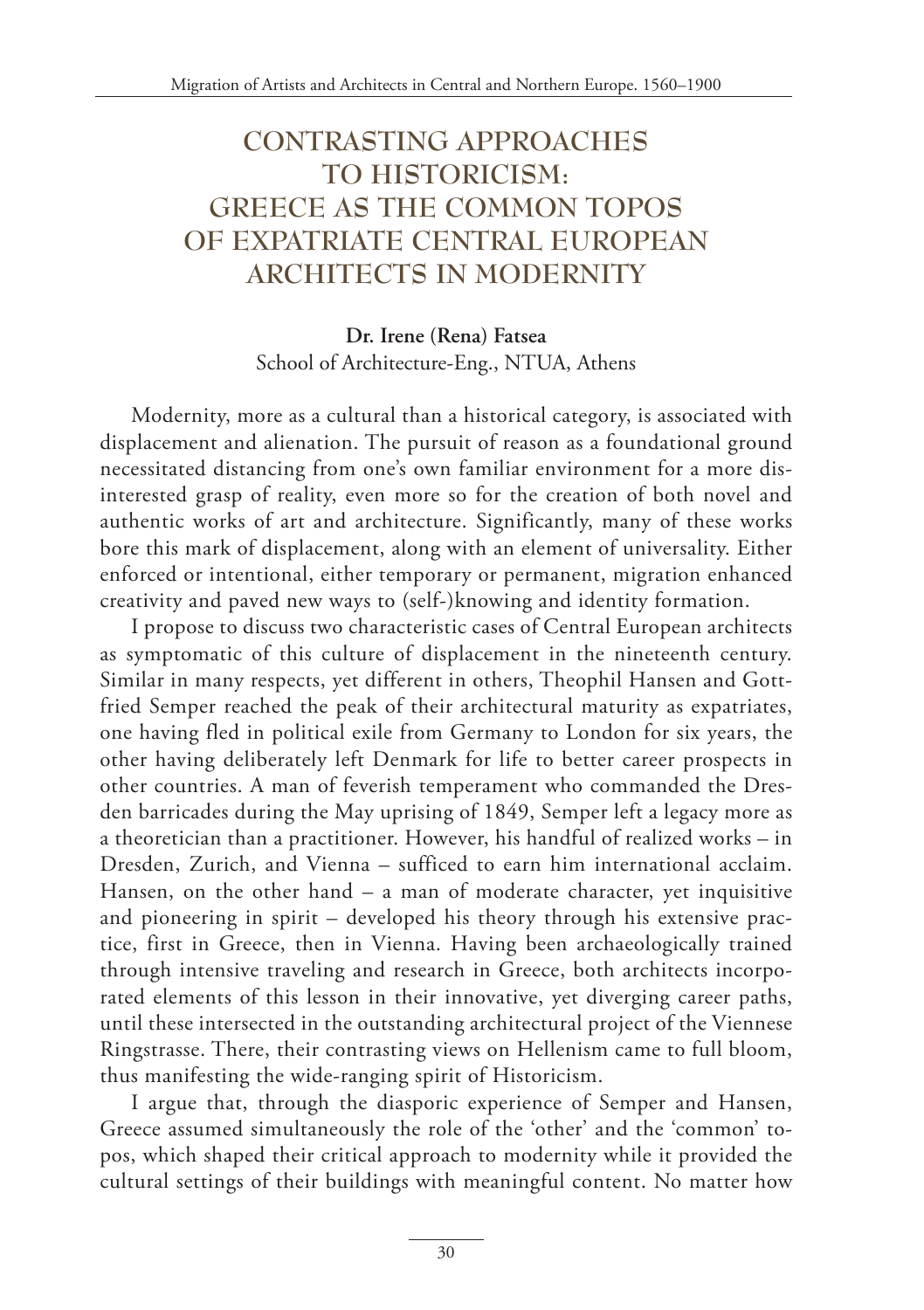# **CONTRASTING APPROACHES TO HISTORICISM: GREECE AS THE COMMON TOPOS OF EXPATRIATE CENTRAL EUROPEAN ARCHITECTS IN MODERNITY**

**Dr. Irene (Rena) Fatsea** School of Architecture-Eng., NTUA, Athens

Modernity, more as a cultural than a historical category, is associated with displacement and alienation. The pursuit of reason as a foundational ground necessitated distancing from one's own familiar environment for a more disinterested grasp of reality, even more so for the creation of both novel and authentic works of art and architecture. Significantly, many of these works bore this mark of displacement, along with an element of universality. Either enforced or intentional, either temporary or permanent, migration enhanced creativity and paved new ways to (self-)knowing and identity formation.

I propose to discuss two characteristic cases of Central European architects as symptomatic of this culture of displacement in the nineteenth century. Similar in many respects, yet different in others, Theophil Hansen and Gottfried Semper reached the peak of their architectural maturity as expatriates, one having fled in political exile from Germany to London for six years, the other having deliberately left Denmark for life to better career prospects in other countries. A man of feverish temperament who commanded the Dresden barricades during the May uprising of 1849, Semper left a legacy more as a theoretician than a practitioner. However, his handful of realized works – in Dresden, Zurich, and Vienna – sufficed to earn him international acclaim. Hansen, on the other hand – a man of moderate character, yet inquisitive and pioneering in spirit – developed his theory through his extensive practice, first in Greece, then in Vienna. Having been archaeologically trained through intensive traveling and research in Greece, both architects incorporated elements of this lesson in their innovative, yet diverging career paths, until these intersected in the outstanding architectural project of the Viennese Ringstrasse. There, their contrasting views on Hellenism came to full bloom, thus manifesting the wide-ranging spirit of Historicism.

I argue that, through the diasporic experience of Semper and Hansen, Greece assumed simultaneously the role of the 'other' and the 'common' topos, which shaped their critical approach to modernity while it provided the cultural settings of their buildings with meaningful content. No matter how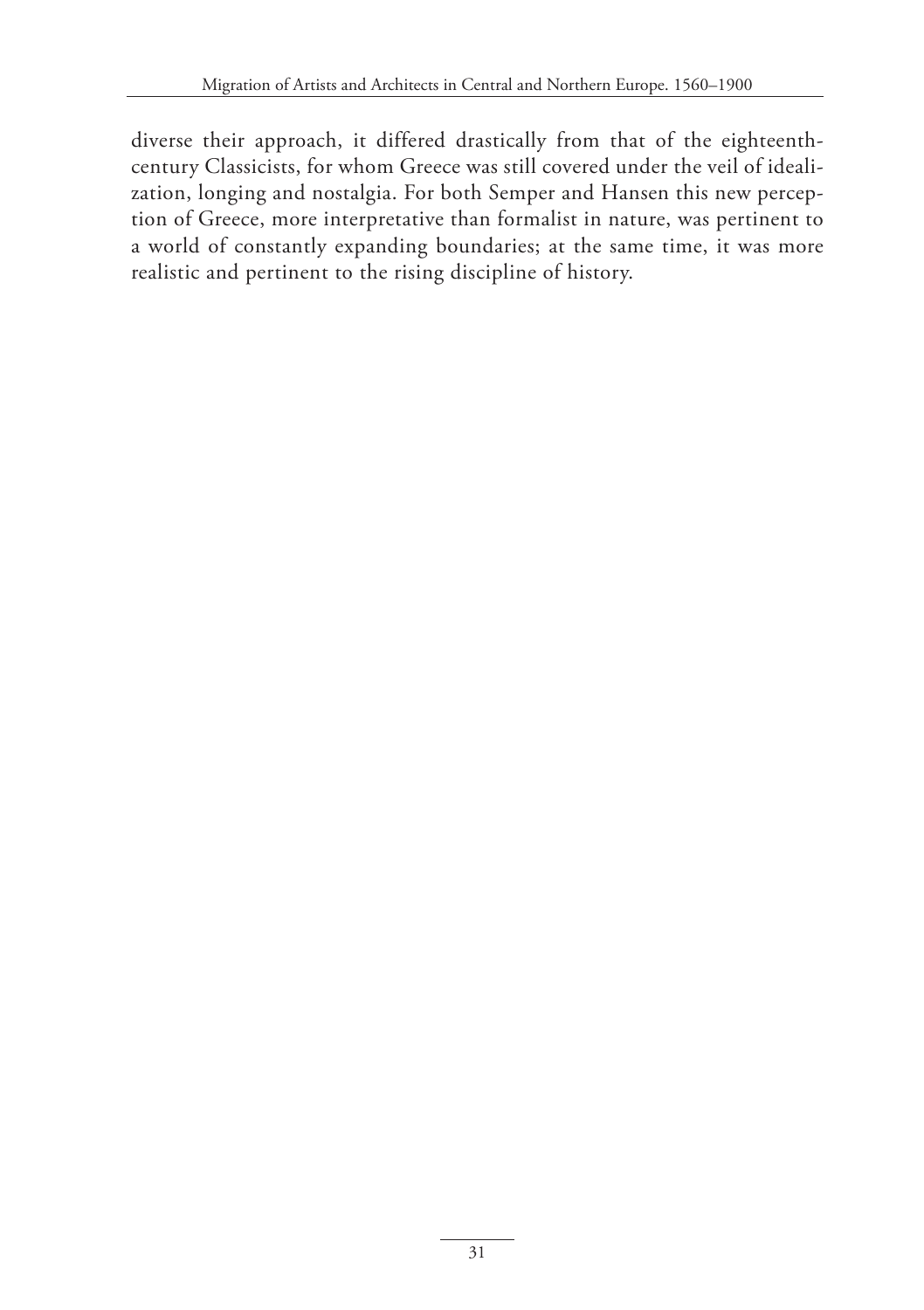diverse their approach, it differed drastically from that of the eighteenthcentury Classicists, for whom Greece was still covered under the veil of idealization, longing and nostalgia. For both Semper and Hansen this new perception of Greece, more interpretative than formalist in nature, was pertinent to a world of constantly expanding boundaries; at the same time, it was more realistic and pertinent to the rising discipline of history.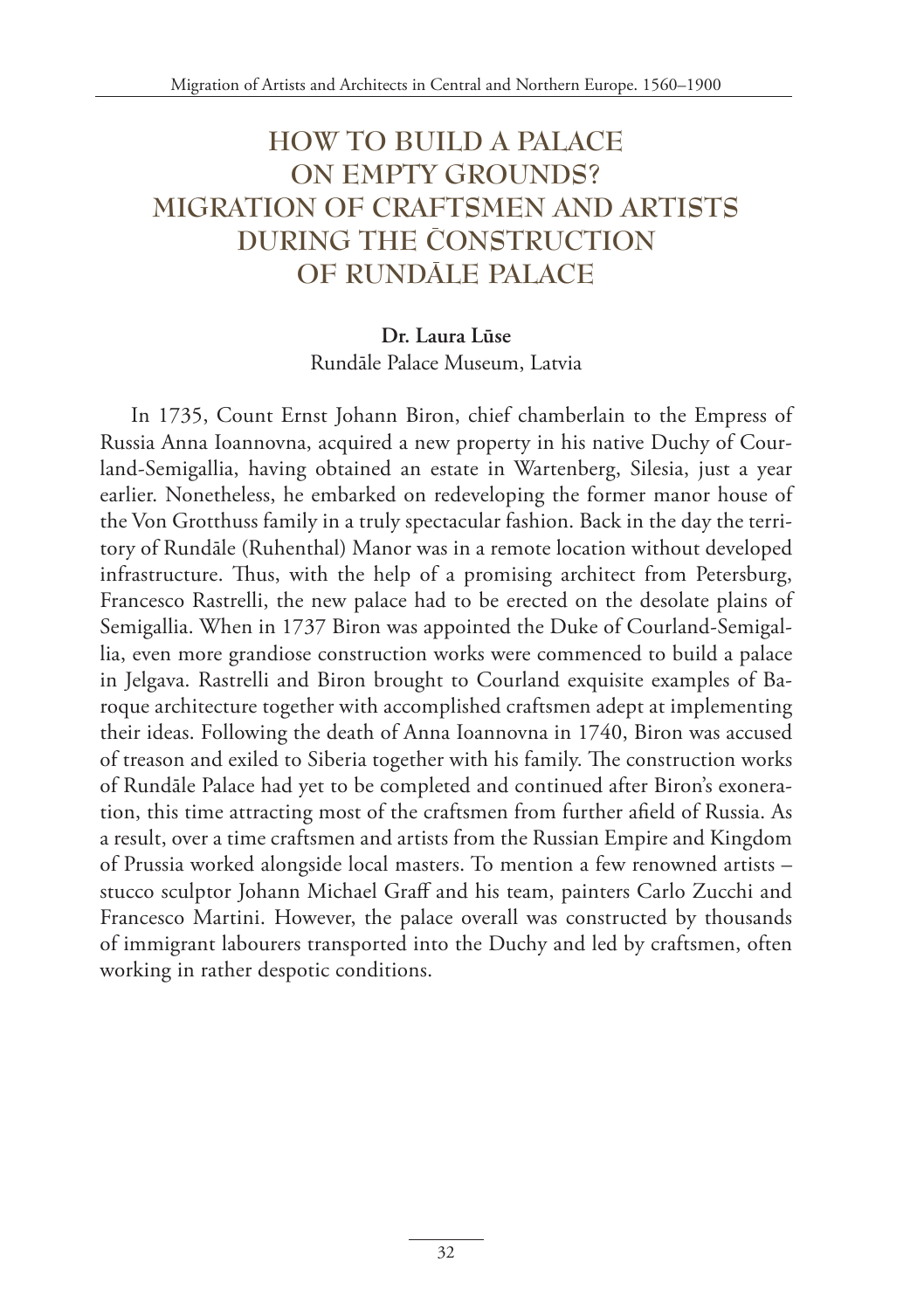# **HOW TO BUILD A PALACE ON EMPTY GROUNDS? MIGRATION OF CRAFTSMEN AND ARTISTS DURING THE CONSTRUCTION OF RUNDALE PALACE**

### **Dr. Laura Lūse** Rundāle Palace Museum, Latvia

In 1735, Count Ernst Johann Biron, chief chamberlain to the Empress of Russia Anna Ioannovna, acquired a new property in his native Duchy of Courland-Semigallia, having obtained an estate in Wartenberg, Silesia, just a year earlier. Nonetheless, he embarked on redeveloping the former manor house of the Von Grotthuss family in a truly spectacular fashion. Back in the day the territory of Rundāle (Ruhenthal) Manor was in a remote location without developed infrastructure. Thus, with the help of a promising architect from Petersburg, Francesco Rastrelli, the new palace had to be erected on the desolate plains of Semigallia. When in 1737 Biron was appointed the Duke of Courland-Semigallia, even more grandiose construction works were commenced to build a palace in Jelgava. Rastrelli and Biron brought to Courland exquisite examples of Baroque architecture together with accomplished craftsmen adept at implementing their ideas. Following the death of Anna Ioannovna in 1740, Biron was accused of treason and exiled to Siberia together with his family. The construction works of Rundāle Palace had yet to be completed and continued after Biron's exoneration, this time attracting most of the craftsmen from further afield of Russia. As a result, over a time craftsmen and artists from the Russian Empire and Kingdom of Prussia worked alongside local masters. To mention a few renowned artists – stucco sculptor Johann Michael Graff and his team, painters Carlo Zucchi and Francesco Martini. However, the palace overall was constructed by thousands of immigrant labourers transported into the Duchy and led by craftsmen, often working in rather despotic conditions.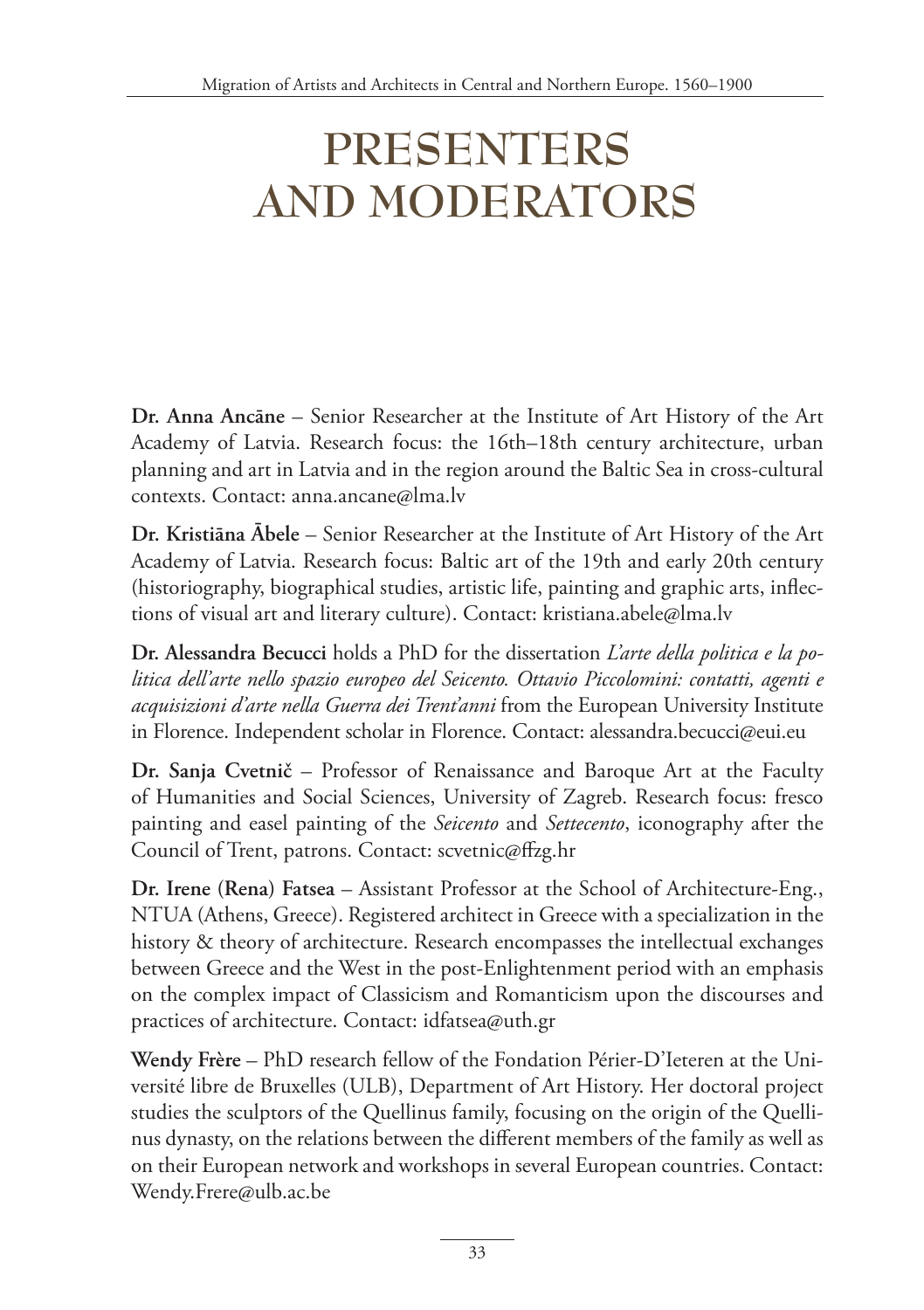# **PRESENTERS AND MODERATORS**

**Dr. Anna Ancāne** – Senior Researcher at the Institute of Art History of the Art Academy of Latvia. Research focus: the 16th–18th century architecture, urban planning and art in Latvia and in the region around the Baltic Sea in cross-cultural contexts. Contact: anna.ancane@lma.lv

**Dr. Kristiāna Ābele** – Senior Researcher at the Institute of Art History of the Art Academy of Latvia. Research focus: Baltic art of the 19th and early 20th century (historiography, biographical studies, artistic life, painting and graphic arts, inflections of visual art and literary culture). Contact: kristiana.abele@lma.lv

**Dr. Alessandra Becucci** holds a PhD for the dissertation *L'arte della politica e la politica dell'arte nello spazio europeo del Seicento. Ottavio Piccolomini: contatti, agenti e acquisizioni d'arte nella Guerra dei Trent'anni* from the European University Institute in Florence. Independent scholar in Florence. Contact: alessandra.becucci@eui.eu

**Dr. Sanja Cvetnič** – Professor of Renaissance and Baroque Art at the Faculty of Humanities and Social Sciences, University of Zagreb. Research focus: fresco painting and easel painting of the *Seicento* and *Settecento*, iconography after the Council of Trent, patrons. Contact: scvetnic@ffzg.hr

**Dr. Irene (Rena) Fatsea** – Assistant Professor at the School of Architecture-Eng., NTUA (Athens, Greece). Registered architect in Greece with a specialization in the history & theory of architecture. Research encompasses the intellectual exchanges between Greece and the West in the post-Enlightenment period with an emphasis on the complex impact of Classicism and Romanticism upon the discourses and practices of architecture. Contact: idfatsea@uth.gr

**Wendy Frère** – PhD research fellow of the Fondation Périer-D'Ieteren at the Université libre de Bruxelles (ULB), Department of Art History. Her doctoral project studies the sculptors of the Quellinus family, focusing on the origin of the Quellinus dynasty, on the relations between the different members of the family as well as on their European network and workshops in several European countries. Contact: Wendy.Frere@ulb.ac.be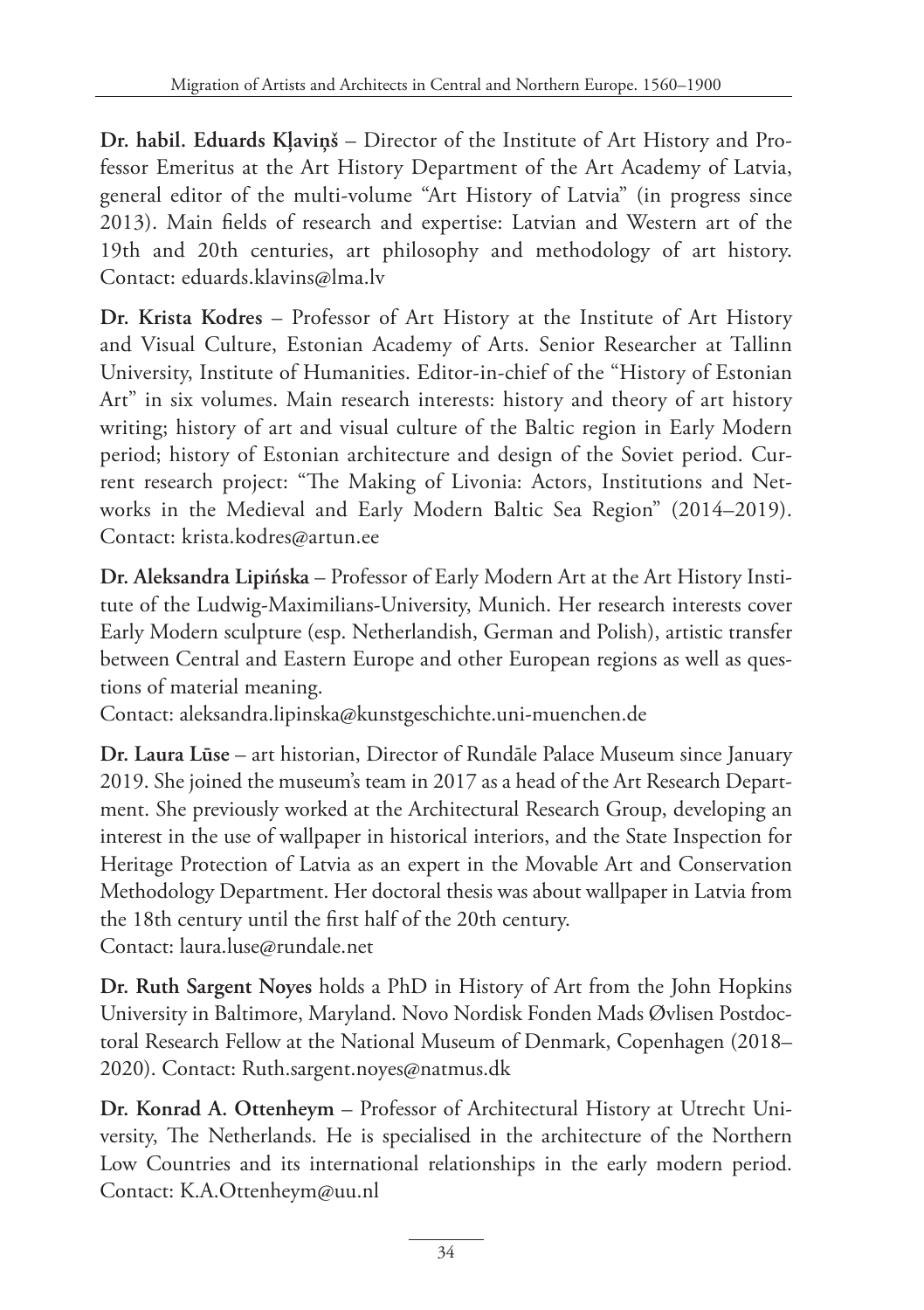**Dr. habil. Eduards Kļaviņš** – Director of the Institute of Art History and Professor Emeritus at the Art History Department of the Art Academy of Latvia, general editor of the multi-volume "Art History of Latvia" (in progress since 2013). Main fields of research and expertise: Latvian and Western art of the 19th and 20th centuries, art philosophy and methodology of art history. Contact: eduards.klavins@lma.lv

**Dr. Krista Kodres** – Professor of Art History at the Institute of Art History and Visual Culture, Estonian Academy of Arts. Senior Researcher at Tallinn University, Institute of Humanities. Editor-in-chief of the "History of Estonian Art" in six volumes. Main research interests: history and theory of art history writing; history of art and visual culture of the Baltic region in Early Modern period; history of Estonian architecture and design of the Soviet period. Current research project: "The Making of Livonia: Actors, Institutions and Networks in the Medieval and Early Modern Baltic Sea Region" (2014–2019). Contact: krista.kodres@artun.ee

**Dr. Aleksandra Lipińska** – Professor of Early Modern Art at the Art History Institute of the Ludwig-Maximilians-University, Munich. Her research interests cover Early Modern sculpture (esp. Netherlandish, German and Polish), artistic transfer between Central and Eastern Europe and other European regions as well as questions of material meaning.

Contact: aleksandra.lipinska@kunstgeschichte.uni-muenchen.de

**Dr. Laura Lūse** – art historian, Director of Rundāle Palace Museum since January 2019. She joined the museum's team in 2017 as a head of the Art Research Department. She previously worked at the Architectural Research Group, developing an interest in the use of wallpaper in historical interiors, and the State Inspection for Heritage Protection of Latvia as an expert in the Movable Art and Conservation Methodology Department. Her doctoral thesis was about wallpaper in Latvia from the 18th century until the first half of the 20th century. Contact: laura.luse@rundale.net

**Dr. Ruth Sargent Noyes** holds a PhD in History of Art from the John Hopkins University in Baltimore, Maryland. Novo Nordisk Fonden Mads Øvlisen Postdoctoral Research Fellow at the National Museum of Denmark, Copenhagen (2018– 2020). Contact: Ruth.sargent.noyes@natmus.dk

**Dr. Konrad A. Ottenheym** – Professor of Architectural History at Utrecht University, The Netherlands. He is specialised in the architecture of the Northern Low Countries and its international relationships in the early modern period. Contact: K.A.Ottenheym@uu.nl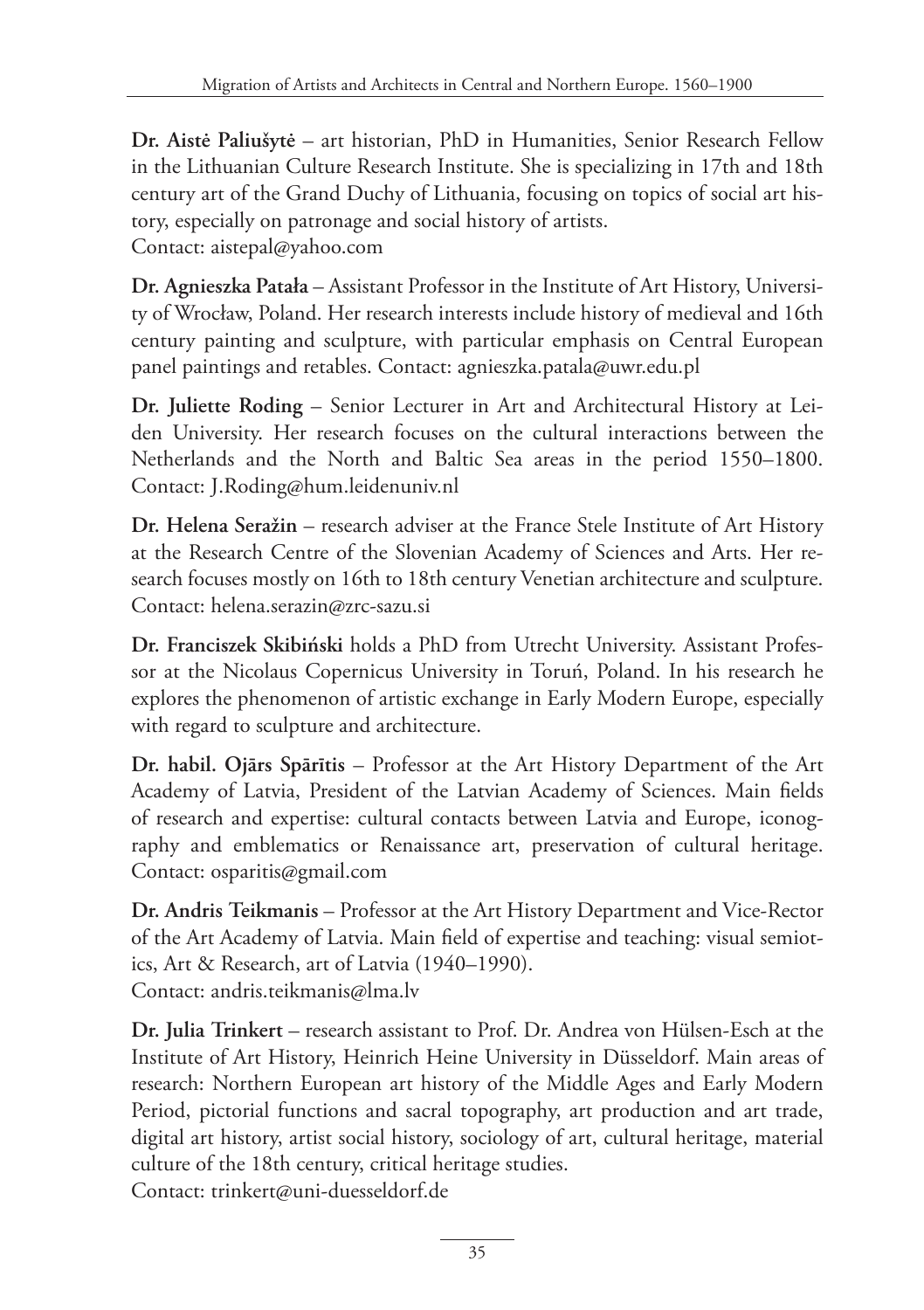**Dr. Aistė Paliušytė** – art historian, PhD in Humanities, Senior Research Fellow in the Lithuanian Culture Research Institute. She is specializing in 17th and 18th century art of the Grand Duchy of Lithuania, focusing on topics of social art history, especially on patronage and social history of artists. Contact: aistepal@yahoo.com

**Dr. Agnieszka Patała** – Assistant Professor in the Institute of Art History, University of Wrocław, Poland. Her research interests include history of medieval and 16th century painting and sculpture, with particular emphasis on Central European panel paintings and retables. Contact: agnieszka.patala@uwr.edu.pl

**Dr. Juliette Roding** – Senior Lecturer in Art and Architectural History at Leiden University. Her research focuses on the cultural interactions between the Netherlands and the North and Baltic Sea areas in the period 1550–1800. Contact: J.Roding@hum.leidenuniv.nl

**Dr. Helena Seražin** – research adviser at the France Stele Institute of Art History at the Research Centre of the Slovenian Academy of Sciences and Arts. Her research focuses mostly on 16th to 18th century Venetian architecture and sculpture. Contact: helena.serazin@zrc-sazu.si

**Dr. Franciszek Skibiński** holds a PhD from Utrecht University. Assistant Professor at the Nicolaus Copernicus University in Toruń, Poland. In his research he explores the phenomenon of artistic exchange in Early Modern Europe, especially with regard to sculpture and architecture.

**Dr. habil. Ojārs Spārītis** – Professor at the Art History Department of the Art Academy of Latvia, President of the Latvian Academy of Sciences. Main fields of research and expertise: cultural contacts between Latvia and Europe, iconography and emblematics or Renaissance art, preservation of cultural heritage. Contact: osparitis@gmail.com

**Dr. Andris Teikmanis** – Professor at the Art History Department and Vice-Rector of the Art Academy of Latvia. Main field of expertise and teaching: visual semiotics, Art & Research, art of Latvia (1940–1990). Contact: andris.teikmanis@lma.lv

**Dr. Julia Trinkert** – research assistant to Prof. Dr. Andrea von Hülsen-Esch at the Institute of Art History, Heinrich Heine University in Düsseldorf. Main areas of research: Northern European art history of the Middle Ages and Early Modern Period, pictorial functions and sacral topography, art production and art trade, digital art history, artist social history, sociology of art, cultural heritage, material culture of the 18th century, critical heritage studies. Contact: trinkert@uni-duesseldorf.de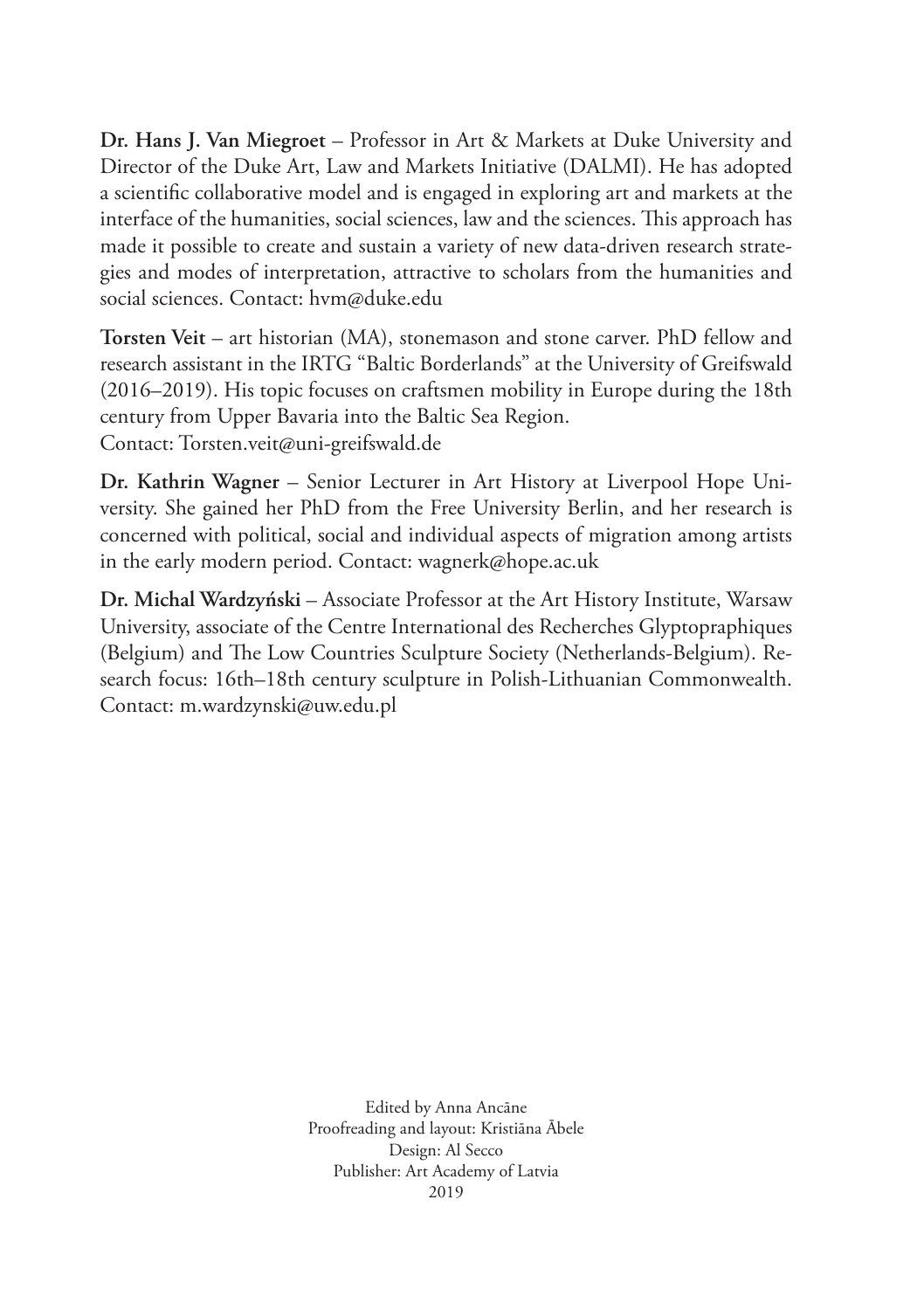**Dr. Hans J. Van Miegroet** – Professor in Art & Markets at Duke University and Director of the Duke Art, Law and Markets Initiative (DALMI). He has adopted a scientific collaborative model and is engaged in exploring art and markets at the interface of the humanities, social sciences, law and the sciences. This approach has made it possible to create and sustain a variety of new data-driven research strategies and modes of interpretation, attractive to scholars from the humanities and social sciences. Contact: hvm@duke.edu

**Torsten Veit** – art historian (MA), stonemason and stone carver. PhD fellow and research assistant in the IRTG "Baltic Borderlands" at the University of Greifswald (2016–2019). His topic focuses on craftsmen mobility in Europe during the 18th century from Upper Bavaria into the Baltic Sea Region. Contact: Torsten.veit@uni-greifswald.de

**Dr. Kathrin Wagner** – Senior Lecturer in Art History at Liverpool Hope University. She gained her PhD from the Free University Berlin, and her research is concerned with political, social and individual aspects of migration among artists in the early modern period. Contact: wagnerk@hope.ac.uk

**Dr. Michal Wardzyński** – Associate Professor at the Art History Institute, Warsaw University, associate of the Centre International des Recherches Glyptopraphiques (Belgium) and The Low Countries Sculpture Society (Netherlands-Belgium). Research focus: 16th–18th century sculpture in Polish-Lithuanian Commonwealth. Contact: m.wardzynski@uw.edu.pl

> Edited by Anna Ancāne Proofreading and layout: Kristiāna Ābele Design: Al Secco Publisher: Art Academy of Latvia 2019